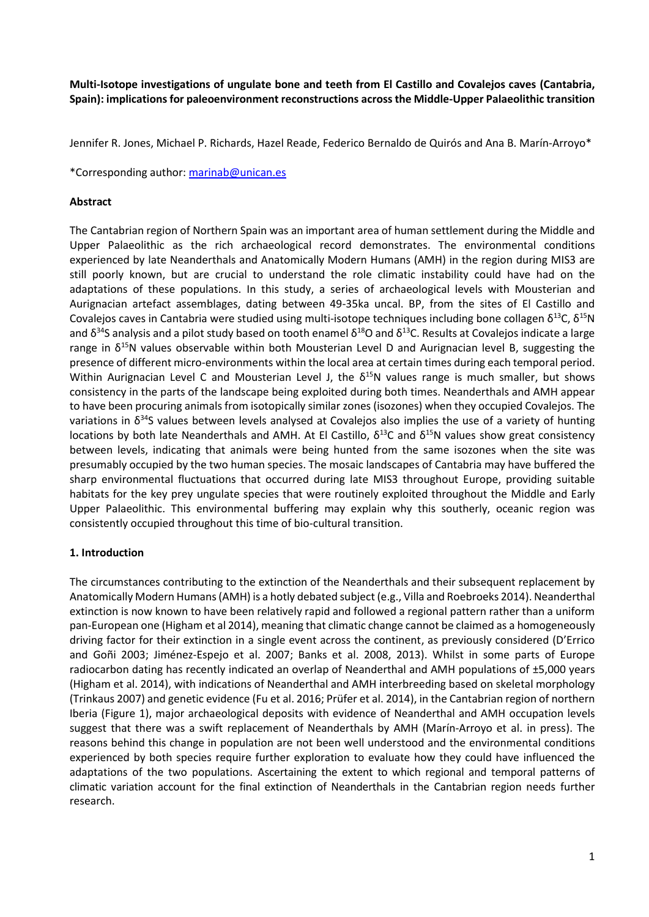**Multi-Isotope investigations of ungulate bone and teeth from El Castillo and Covalejos caves [\(Cantabria,](http://www.sciencedirect.com/science/article/pii/S2352409X17301402)  [Spain\):](http://www.sciencedirect.com/science/article/pii/S2352409X17301402) implications for paleoenvironment reconstructions across the Middle-Upper Palaeolithic transition**

Jennifer R. Jones, Michael P. Richards, Hazel Reade, Federico Bernaldo de Quirós and Ana B. Marín-Arroyo\*

\*Corresponding author: [marinab@unican.es](mailto:marinab@unican.es)

#### **Abstract**

The Cantabrian region of Northern Spain was an important area of human settlement during the Middle and Upper Palaeolithic as the rich archaeological record demonstrates. The environmental conditions experienced by late Neanderthals and Anatomically Modern Humans (AMH) in the region during MIS3 are still poorly known, but are crucial to understand the role climatic instability could have had on the adaptations of these populations. In this study, a series of archaeological levels with Mousterian and Aurignacian artefact assemblages, dating between 49-35ka uncal. BP, from the sites of El Castillo and Covalejos caves in Cantabria were studied using multi-isotope techniques including bone collagen  $\delta^{13}C$ ,  $\delta^{15}N$ and δ<sup>34</sup>S analysis and a pilot study based on tooth enamel δ<sup>18</sup>O and δ<sup>13</sup>C. Results at Covalejos indicate a large range in  $\delta^{15}$ N values observable within both Mousterian Level D and Aurignacian level B, suggesting the presence of different micro-environments within the local area at certain times during each temporal period. Within Aurignacian Level C and Mousterian Level J, the  $\delta^{15}N$  values range is much smaller, but shows consistency in the parts of the landscape being exploited during both times. Neanderthals and AMH appear to have been procuring animals from isotopically similar zones (isozones) when they occupied Covalejos. The variations in  $\delta^{34}$ S values between levels analysed at Covalejos also implies the use of a variety of hunting locations by both late Neanderthals and AMH. At El Castillo,  $\delta^{13}$ C and  $\delta^{15}$ N values show great consistency between levels, indicating that animals were being hunted from the same isozones when the site was presumably occupied by the two human species. The mosaic landscapes of Cantabria may have buffered the sharp environmental fluctuations that occurred during late MIS3 throughout Europe, providing suitable habitats for the key prey ungulate species that were routinely exploited throughout the Middle and Early Upper Palaeolithic. This environmental buffering may explain why this southerly, oceanic region was consistently occupied throughout this time of bio-cultural transition.

#### **1. Introduction**

The circumstances contributing to the extinction of the Neanderthals and their subsequent replacement by Anatomically Modern Humans (AMH) is a hotly debated subject (e.g., Villa and Roebroeks 2014). Neanderthal extinction is now known to have been relatively rapid and followed a regional pattern rather than a uniform pan-European one (Higham et al 2014), meaning that climatic change cannot be claimed as a homogeneously driving factor for their extinction in a single event across the continent, as previously considered (D'Errico and Goñi 2003; Jiménez-Espejo et al. 2007; Banks et al. 2008, 2013). Whilst in some parts of Europe radiocarbon dating has recently indicated an overlap of Neanderthal and AMH populations of ±5,000 years (Higham et al. 2014), with indications of Neanderthal and AMH interbreeding based on skeletal morphology (Trinkaus 2007) and genetic evidence (Fu et al. 2016; Prüfer et al. 2014), in the Cantabrian region of northern Iberia [\(Figure 1\)](#page-11-0), major archaeological deposits with evidence of Neanderthal and AMH occupation levels suggest that there was a swift replacement of Neanderthals by AMH (Marín-Arroyo et al. in press). The reasons behind this change in population are not been well understood and the environmental conditions experienced by both species require further exploration to evaluate how they could have influenced the adaptations of the two populations. Ascertaining the extent to which regional and temporal patterns of climatic variation account for the final extinction of Neanderthals in the Cantabrian region needs further research.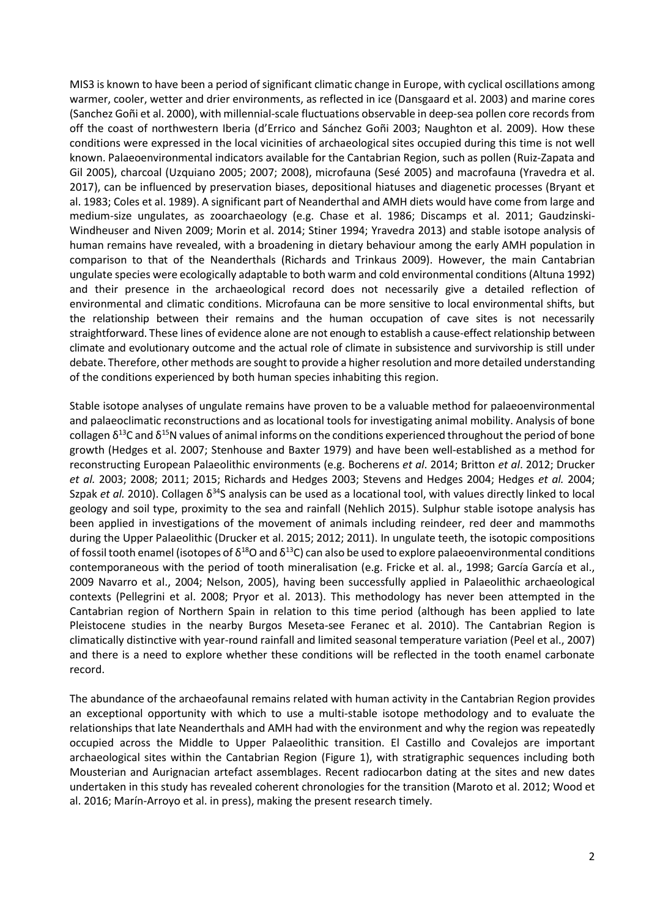MIS3 is known to have been a period of significant climatic change in Europe, with cyclical oscillations among warmer, cooler, wetter and drier environments, as reflected in ice (Dansgaard et al. 2003) and marine cores (Sanchez Goñi et al. 2000), with millennial-scale fluctuations observable in deep-sea pollen core records from off the coast of northwestern Iberia (d'Errico and Sánchez Goñi 2003; Naughton et al. 2009). How these conditions were expressed in the local vicinities of archaeological sites occupied during this time is not well known. Palaeoenvironmental indicators available for the Cantabrian Region, such as pollen (Ruiz-Zapata and Gil 2005), charcoal (Uzquiano 2005; 2007; 2008), microfauna (Sesé 2005) and macrofauna (Yravedra et al. 2017), can be influenced by preservation biases, depositional hiatuses and diagenetic processes (Bryant et al. 1983; Coles et al. 1989). A significant part of Neanderthal and AMH diets would have come from large and medium-size ungulates, as zooarchaeology (e.g. Chase et al. 1986; Discamps et al. 2011; Gaudzinski-Windheuser and Niven 2009; Morin et al. 2014; Stiner 1994; Yravedra 2013) and stable isotope analysis of human remains have revealed, with a broadening in dietary behaviour among the early AMH population in comparison to that of the Neanderthals (Richards and Trinkaus 2009). However, the main Cantabrian ungulate species were ecologically adaptable to both warm and cold environmental conditions (Altuna 1992) and their presence in the archaeological record does not necessarily give a detailed reflection of environmental and climatic conditions. Microfauna can be more sensitive to local environmental shifts, but the relationship between their remains and the human occupation of cave sites is not necessarily straightforward. These lines of evidence alone are not enough to establish a cause-effect relationship between climate and evolutionary outcome and the actual role of climate in subsistence and survivorship is still under debate. Therefore, other methods are sought to provide a higher resolution and more detailed understanding of the conditions experienced by both human species inhabiting this region.

Stable isotope analyses of ungulate remains have proven to be a valuable method for palaeoenvironmental and palaeoclimatic reconstructions and as locational tools for investigating animal mobility. Analysis of bone collagen  $\delta^{13}$ C and  $\delta^{15}$ N values of animal informs on the conditions experienced throughout the period of bone growth (Hedges et al. 2007; Stenhouse and Baxter 1979) and have been well-established as a method for reconstructing European Palaeolithic environments (e.g. Bocherens *et al*. 2014; Britton *et al*. 2012; Drucker *et al.* 2003; 2008; 2011; 2015; Richards and Hedges 2003; Stevens and Hedges 2004; Hedges *et al.* 2004; Szpak *et al.* 2010). Collagen  $\delta^{34}$ S analysis can be used as a locational tool, with values directly linked to local geology and soil type, proximity to the sea and rainfall (Nehlich 2015). Sulphur stable isotope analysis has been applied in investigations of the movement of animals including reindeer, red deer and mammoths during the Upper Palaeolithic (Drucker et al. 2015; 2012; 2011). In ungulate teeth, the isotopic compositions of fossil tooth enamel (isotopes of  $\delta^{18}$ O and  $\delta^{13}$ C) can also be used to explore palaeoenvironmental conditions contemporaneous with the period of tooth mineralisation (e.g. Fricke et al. al., 1998; García García et al., 2009 Navarro et al., 2004; Nelson, 2005), having been successfully applied in Palaeolithic archaeological contexts (Pellegrini et al. 2008; Pryor et al. 2013). This methodology has never been attempted in the Cantabrian region of Northern Spain in relation to this time period (although has been applied to late Pleistocene studies in the nearby Burgos Meseta-see Feranec et al. 2010). The Cantabrian Region is climatically distinctive with year-round rainfall and limited seasonal temperature variation (Peel et al., 2007) and there is a need to explore whether these conditions will be reflected in the tooth enamel carbonate record.

The abundance of the archaeofaunal remains related with human activity in the Cantabrian Region provides an exceptional opportunity with which to use a multi-stable isotope methodology and to evaluate the relationships that late Neanderthals and AMH had with the environment and why the region was repeatedly occupied across the Middle to Upper Palaeolithic transition. El Castillo and Covalejos are important archaeological sites within the Cantabrian Region [\(Figure 1\)](#page-11-0), with stratigraphic sequences including both Mousterian and Aurignacian artefact assemblages. Recent radiocarbon dating at the sites and new dates undertaken in this study has revealed coherent chronologies for the transition (Maroto et al. 2012; Wood et al. 2016; Marín-Arroyo et al. in press), making the present research timely.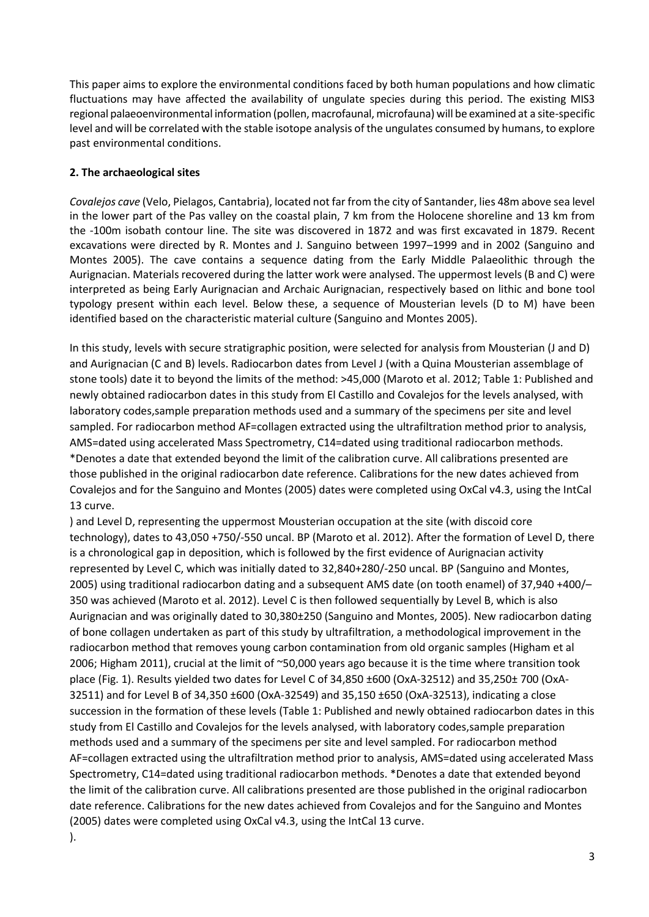This paper aims to explore the environmental conditions faced by both human populations and how climatic fluctuations may have affected the availability of ungulate species during this period. The existing MIS3 regional palaeoenvironmental information (pollen, macrofaunal, microfauna) will be examined at a site-specific level and will be correlated with the stable isotope analysis of the ungulates consumed by humans, to explore past environmental conditions.

### **2. The archaeological sites**

*Covalejos cave* (Velo, Pielagos, Cantabria), located not far from the city of Santander, lies 48m above sea level in the lower part of the Pas valley on the coastal plain, 7 km from the Holocene shoreline and 13 km from the -100m isobath contour line. The site was discovered in 1872 and was first excavated in 1879. Recent excavations were directed by R. Montes and J. Sanguino between 1997–1999 and in 2002 (Sanguino and Montes 2005). The cave contains a sequence dating from the Early Middle Palaeolithic through the Aurignacian. Materials recovered during the latter work were analysed. The uppermost levels (B and C) were interpreted as being Early Aurignacian and Archaic Aurignacian, respectively based on lithic and bone tool typology present within each level. Below these, a sequence of Mousterian levels (D to M) have been identified based on the characteristic material culture (Sanguino and Montes 2005).

In this study, levels with secure stratigraphic position, were selected for analysis from Mousterian (J and D) and Aurignacian (C and B) levels. Radiocarbon dates from Level J (with a Quina Mousterian assemblage of stone tools) date it to beyond the limits of the method: >45,000 (Maroto et al. 2012; [Table 1: Published and](#page-11-1)  [newly obtained radiocarbon dates in this study from El Castillo and Covalejos for the levels analysed, with](#page-11-1)  [laboratory codes,sample preparation methods used](#page-11-1) and a summary of the specimens per site and level [sampled. For radiocarbon method AF=collagen extracted using the ultrafiltration method prior to analysis,](#page-11-1)  [AMS=dated using accelerated Mass Spectrometry, C14=dated using traditional radiocarbon methods.](#page-11-1)  [\\*Denotes a date that extended beyond the limit of the calibration curve. All calibrations presented are](#page-11-1)  [those published in the original radiocarbon date reference.](#page-11-1) Calibrations for the new dates achieved from Covalejos and [for the Sanguino and Montes \(2005\) dates were completed using OxCal v4.3, using the IntCal](#page-11-1)  [13 curve.](#page-11-1) 

) and Level D, representing the uppermost Mousterian occupation at the site (with discoid core technology), dates to 43,050 +750/-550 uncal. BP (Maroto et al. 2012). After the formation of Level D, there is a chronological gap in deposition, which is followed by the first evidence of Aurignacian activity represented by Level C, which was initially dated to 32,840+280/-250 uncal. BP (Sanguino and Montes, 2005) using traditional radiocarbon dating and a subsequent AMS date (on tooth enamel) of 37,940 +400/– 350 was achieved (Maroto et al. 2012). Level C is then followed sequentially by Level B, which is also Aurignacian and was originally dated to 30,380±250 (Sanguino and Montes, 2005). New radiocarbon dating of bone collagen undertaken as part of this study by ultrafiltration, a methodological improvement in the radiocarbon method that removes young carbon contamination from old organic samples (Higham et al 2006; Higham 2011), crucial at the limit of ~50,000 years ago because it is the time where transition took place (Fig. 1). Results yielded two dates for Level C of 34,850 ±600 (OxA-32512) and 35,250± 700 (OxA-32511) and for Level B of 34,350  $\pm$  600 (OxA-32549) and 35,150  $\pm$  650 (OxA-32513), indicating a close succession in the formation of these levels [\(Table 1: Published and newly obtained radiocarbon dates in this](#page-11-1)  [study from El Castillo and Covalejos for the levels analysed, with laboratory codes,sample preparation](#page-11-1)  methods used and [a summary of the specimens per site and level](#page-11-1) sampled. For radiocarbon method [AF=collagen extracted using the ultrafiltration method prior to analysis, AMS=dated using accelerated Mass](#page-11-1)  [Spectrometry, C14=dated using traditional radiocarbon methods. \\*Denotes a date that extended beyond](#page-11-1)  [the limit of the calibration curve. All calibrations presented are those published in the original radiocarbon](#page-11-1)  date reference. [Calibrations for the new dates achieved from Covalejos](#page-11-1) and for the Sanguino and Montes [\(2005\) dates were completed using OxCal v4.3, using the IntCal 13 curve.](#page-11-1)  ).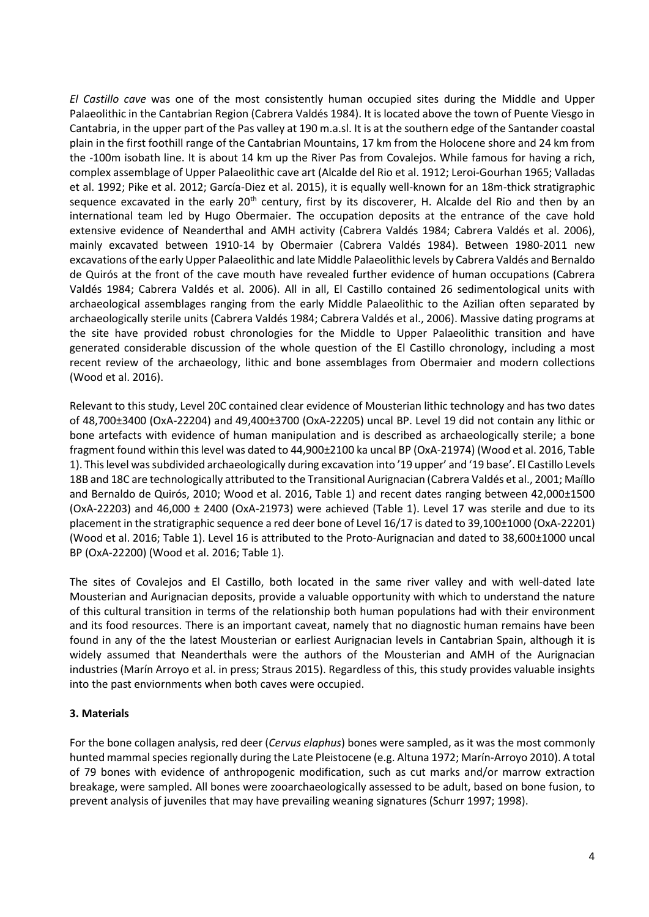*El Castillo cave* was one of the most consistently human occupied sites during the Middle and Upper Palaeolithic in the Cantabrian Region (Cabrera Valdés 1984). It is located above the town of Puente Viesgo in Cantabria, in the upper part of the Pas valley at 190 m.a.sl. It is at the southern edge of the Santander coastal plain in the first foothill range of the Cantabrian Mountains, 17 km from the Holocene shore and 24 km from the -100m isobath line. It is about 14 km up the River Pas from Covalejos. While famous for having a rich, complex assemblage of Upper Palaeolithic cave art (Alcalde del Rio et al. 1912; Leroi-Gourhan 1965; Valladas et al. 1992; Pike et al. 2012; García-Diez et al. 2015), it is equally well-known for an 18m-thick stratigraphic sequence excavated in the early 20<sup>th</sup> century, first by its discoverer, H. Alcalde del Rio and then by an international team led by Hugo Obermaier. The occupation deposits at the entrance of the cave hold extensive evidence of Neanderthal and AMH activity (Cabrera Valdés 1984; Cabrera Valdés et al. 2006), mainly excavated between 1910-14 by Obermaier (Cabrera Valdés 1984). Between 1980-2011 new excavations of the early Upper Palaeolithic and late Middle Palaeolithic levels by Cabrera Valdés and Bernaldo de Quirós at the front of the cave mouth have revealed further evidence of human occupations (Cabrera Valdés 1984; Cabrera Valdés et al. 2006). All in all, El Castillo contained 26 sedimentological units with archaeological assemblages ranging from the early Middle Palaeolithic to the Azilian often separated by archaeologically sterile units (Cabrera Valdés 1984; Cabrera Valdés et al., 2006). Massive dating programs at the site have provided robust chronologies for the Middle to Upper Palaeolithic transition and have generated considerable discussion of the whole question of the El Castillo chronology, including a most recent review of the archaeology, lithic and bone assemblages from Obermaier and modern collections (Wood et al. 2016).

Relevant to this study, Level 20C contained clear evidence of Mousterian lithic technology and has two dates of 48,700±3400 (OxA-22204) and 49,400±3700 (OxA-22205) uncal BP. Level 19 did not contain any lithic or bone artefacts with evidence of human manipulation and is described as archaeologically sterile; a bone fragment found within this level was dated to 44,900±2100 ka uncal BP (OxA-21974) (Wood et al. 2016, Table 1). This level was subdivided archaeologically during excavation into '19 upper' and '19 base'. El Castillo Levels 18B and 18C are technologically attributed to the Transitional Aurignacian (Cabrera Valdés et al., 2001; Maíllo and Bernaldo de Quirós, 2010; Wood et al. 2016, Table 1) and recent dates ranging between 42,000±1500  $(OxA-22203)$  and  $46,000 \pm 2400$   $(OxA-21973)$  were achieved (Table 1). Level 17 was sterile and due to its placement in the stratigraphic sequence a red deer bone of Level 16/17 is dated to 39,100±1000 (OxA-22201) (Wood et al. 2016; Table 1). Level 16 is attributed to the Proto-Aurignacian and dated to 38,600±1000 uncal BP (OxA-22200) (Wood et al. 2016; Table 1).

The sites of Covalejos and El Castillo, both located in the same river valley and with well-dated late Mousterian and Aurignacian deposits, provide a valuable opportunity with which to understand the nature of this cultural transition in terms of the relationship both human populations had with their environment and its food resources. There is an important caveat, namely that no diagnostic human remains have been found in any of the the latest Mousterian or earliest Aurignacian levels in Cantabrian Spain, although it is widely assumed that Neanderthals were the authors of the Mousterian and AMH of the Aurignacian industries (Marín Arroyo et al. in press; Straus 2015). Regardless of this, this study provides valuable insights into the past enviornments when both caves were occupied.

### **3. Materials**

For the bone collagen analysis, red deer (*Cervus elaphus*) bones were sampled, as it was the most commonly hunted mammal species regionally during the Late Pleistocene (e.g. Altuna 1972; Marín-Arroyo 2010). A total of 79 bones with evidence of anthropogenic modification, such as cut marks and/or marrow extraction breakage, were sampled. All bones were zooarchaeologically assessed to be adult, based on bone fusion, to prevent analysis of juveniles that may have prevailing weaning signatures (Schurr 1997; 1998).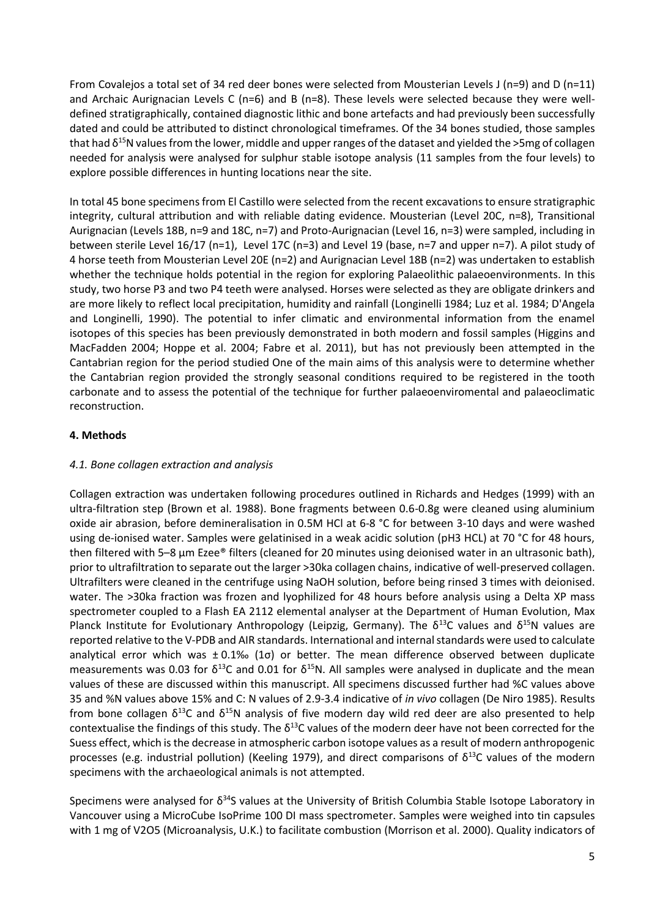From Covalejos a total set of 34 red deer bones were selected from Mousterian Levels J (n=9) and D (n=11) and Archaic Aurignacian Levels C (n=6) and B (n=8). These levels were selected because they were welldefined stratigraphically, contained diagnostic lithic and bone artefacts and had previously been successfully dated and could be attributed to distinct chronological timeframes. Of the 34 bones studied, those samples that had δ<sup>15</sup>N values from the lower, middle and upper ranges of the dataset and yielded the >5mg of collagen needed for analysis were analysed for sulphur stable isotope analysis (11 samples from the four levels) to explore possible differences in hunting locations near the site.

In total 45 bone specimens from El Castillo were selected from the recent excavations to ensure stratigraphic integrity, cultural attribution and with reliable dating evidence. Mousterian (Level 20C, n=8), Transitional Aurignacian (Levels 18B, n=9 and 18C, n=7) and Proto-Aurignacian (Level 16, n=3) were sampled, including in between sterile Level 16/17 (n=1), Level 17C (n=3) and Level 19 (base, n=7 and upper n=7). A pilot study of 4 horse teeth from Mousterian Level 20E (n=2) and Aurignacian Level 18B (n=2) was undertaken to establish whether the technique holds potential in the region for exploring Palaeolithic palaeoenvironments. In this study, two horse P3 and two P4 teeth were analysed. Horses were selected as they are obligate drinkers and are more likely to reflect local precipitation, humidity and rainfall (Longinelli 1984; Luz et al. 1984; D'Angela and Longinelli, 1990). The potential to infer climatic and environmental information from the enamel isotopes of this species has been previously demonstrated in both modern and fossil samples (Higgins and MacFadden 2004; Hoppe et al. 2004; Fabre et al. 2011), but has not previously been attempted in the Cantabrian region for the period studied One of the main aims of this analysis were to determine whether the Cantabrian region provided the strongly seasonal conditions required to be registered in the tooth carbonate and to assess the potential of the technique for further palaeoenviromental and palaeoclimatic reconstruction.

### **4. Methods**

### *4.1. Bone collagen extraction and analysis*

Collagen extraction was undertaken following procedures outlined in Richards and Hedges (1999) with an ultra-filtration step (Brown et al. 1988). Bone fragments between 0.6-0.8g were cleaned using aluminium oxide air abrasion, before demineralisation in 0.5M HCl at 6-8 °C for between 3-10 days and were washed using de-ionised water. Samples were gelatinised in a weak acidic solution (pH3 HCL) at 70 °C for 48 hours, then filtered with 5–8 μm Ezee® filters (cleaned for 20 minutes using deionised water in an ultrasonic bath), prior to ultrafiltration to separate out the larger >30ka collagen chains, indicative of well-preserved collagen. Ultrafilters were cleaned in the centrifuge using NaOH solution, before being rinsed 3 times with deionised. water. The >30ka fraction was frozen and lyophilized for 48 hours before analysis using a Delta XP mass spectrometer coupled to a Flash EA 2112 elemental analyser at the Department of Human Evolution, Max Planck Institute for Evolutionary Anthropology (Leipzig, Germany). The  $\delta^{13}$ C values and  $\delta^{15}$ N values are reported relative to the V-PDB and AIR standards. International and internal standards were used to calculate analytical error which was ± 0.1‰ (1σ) or better. The mean difference observed between duplicate measurements was 0.03 for  $\delta^{13}$ C and 0.01 for  $\delta^{15}$ N. All samples were analysed in duplicate and the mean values of these are discussed within this manuscript. All specimens discussed further had %C values above 35 and %N values above 15% and C: N values of 2.9-3.4 indicative of *in vivo* collagen (De Niro 1985). Results from bone collagen  $\delta^{13}C$  and  $\delta^{15}N$  analysis of five modern day wild red deer are also presented to help contextualise the findings of this study. The  $\delta^{13}$ C values of the modern deer have not been corrected for the Suess effect, which is the decrease in atmospheric carbon isotope values as a result of modern anthropogenic processes (e.g. industrial pollution) (Keeling 1979), and direct comparisons of  $\delta^{13}$ C values of the modern specimens with the archaeological animals is not attempted.

Specimens were analysed for  $\delta^{34}$ S values at the University of British Columbia Stable Isotope Laboratory in Vancouver using a MicroCube IsoPrime 100 DI mass spectrometer. Samples were weighed into tin capsules with 1 mg of V2O5 (Microanalysis, U.K.) to facilitate combustion (Morrison et al. [2000\)](https://link.springer.com/article/10.1007/s12520-009-0003-6#CR45). Quality indicators of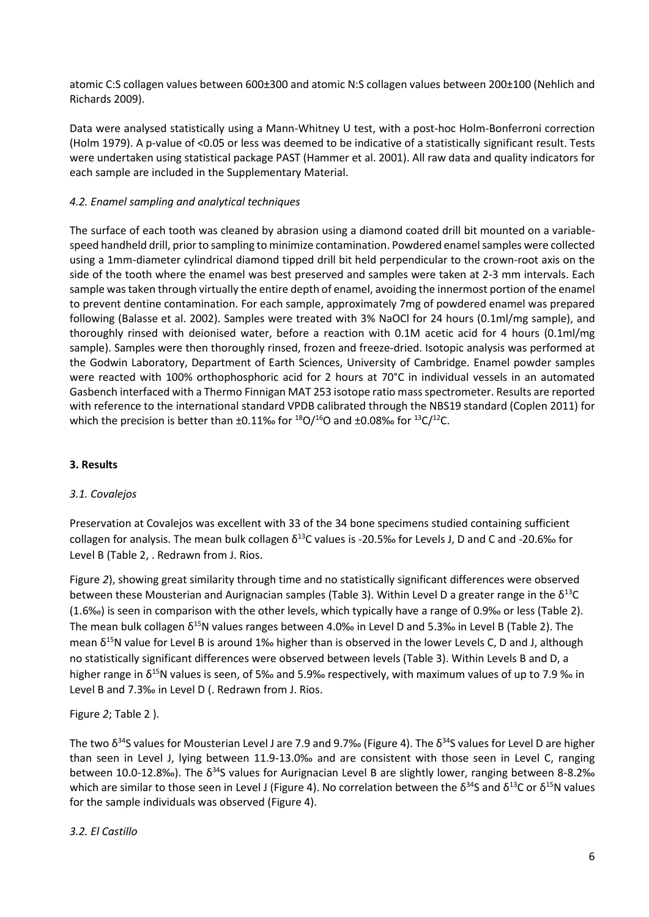atomic C:S collagen values between 600±300 and atomic N:S collagen values between 200±100 (Nehlich and Richards 2009).

Data were analysed statistically using a Mann-Whitney U test, with a post-hoc Holm-Bonferroni correction (Holm 1979). A p-value of <0.05 or less was deemed to be indicative of a statistically significant result. Tests were undertaken using statistical package PAST (Hammer et al. 2001). All raw data and quality indicators for each sample are included in the Supplementary Material.

## *4.2. Enamel sampling and analytical techniques*

The surface of each tooth was cleaned by abrasion using a diamond coated drill bit mounted on a variablespeed handheld drill, prior to sampling to minimize contamination. Powdered enamel samples were collected using a 1mm-diameter cylindrical diamond tipped drill bit held perpendicular to the crown-root axis on the side of the tooth where the enamel was best preserved and samples were taken at 2-3 mm intervals. Each sample was taken through virtually the entire depth of enamel, avoiding the innermost portion of the enamel to prevent dentine contamination. For each sample, approximately 7mg of powdered enamel was prepared following (Balasse et al. 2002). Samples were treated with 3% NaOCl for 24 hours (0.1ml/mg sample), and thoroughly rinsed with deionised water, before a reaction with 0.1M acetic acid for 4 hours (0.1ml/mg sample). Samples were then thoroughly rinsed, frozen and freeze-dried. Isotopic analysis was performed at the Godwin Laboratory, Department of Earth Sciences, University of Cambridge. Enamel powder samples were reacted with 100% orthophosphoric acid for 2 hours at 70°C in individual vessels in an automated Gasbench interfaced with a Thermo Finnigan MAT 253 isotope ratio mass spectrometer. Results are reported with reference to the international standard VPDB calibrated through the NBS19 standard (Coplen 2011) for which the precision is better than  $\pm 0.11\%$  for  $^{18}O/^{16}O$  and  $\pm 0.08\%$  for  $^{13}C/^{12}C$ .

## **3. Results**

### *3.1. Covalejos*

Preservation at Covalejos was excellent with 33 of the 34 bone specimens studied containing sufficient collagen for analysis. The mean bulk collagen  $\delta^{13}$ C values is -20.5‰ for Levels J, D and C and -20.6‰ for Level B [\(Table 2,](#page-11-2) . Redrawn [from J. Rios.](#page-11-3)

[Figure](#page-11-3) *2*), showing great similarity through time and no statistically significant differences were observed between these Mousterian and Aurignacian samples [\(Table 3\)](#page-11-4). Within Level D a greater range in the  $\delta^{13}C$ (1.6‰) is seen in comparison with the other levels, which typically have a range of 0.9‰ or less ([Table 2\)](#page-11-2). The mean bulk collagen  $\delta^{15}N$  values ranges between 4.0‰ in Level D and 5.3‰ in Level B (Table 2). The mean δ<sup>15</sup>N value for Level B is around 1‰ higher than is observed in the lower Levels C, D and J, although no statistically significant differences were observed between levels [\(Table 3\)](#page-11-4). Within Levels B and D, a higher range in  $\delta^{15}$ N values is seen, of 5‰ and 5.9‰ respectively, with maximum values of up to 7.9 ‰ in Level B and 7.3‰ in Level D (. Redrawn [from J. Rios.](#page-11-3)

### [Figure](#page-11-3) *2*; [Table 2](#page-11-2) ).

The two  $\delta^{34}$ S values for Mousterian Level J are 7.9 and 9.7‰ (Figure 4). The  $\delta^{34}$ S values for Level D are higher than seen in Level J, lying between 11.9-13.0‰ and are consistent with those seen in Level C, ranging between 10.0-12.8‰). The  $\delta^{34}$ S values for Aurignacian Level B are slightly lower, ranging between 8-8.2‰ which are similar to those seen in Level J [\(Figure 4\)](#page-11-5). No correlation between the  $\delta^{34}S$  and  $\delta^{13}C$  or  $\delta^{15}N$  values for the sample individuals was observed [\(Figure 4\)](#page-11-5).

### *3.2. El Castillo*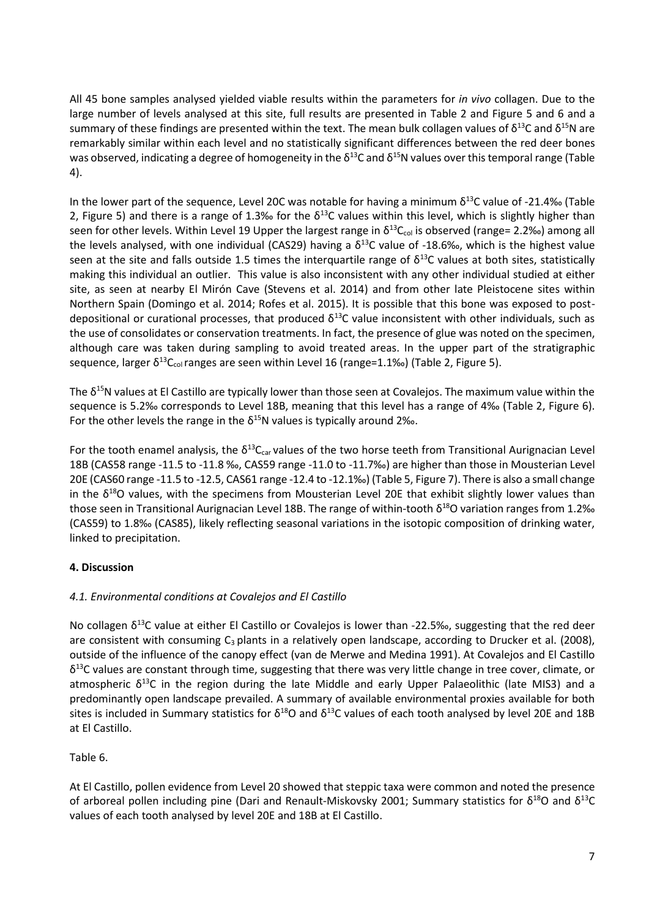All 45 bone samples analysed yielded viable results within the parameters for *in vivo* collagen. Due to the large number of levels analysed at this site, full results are presented in [Table 2](#page-11-2) and [Figure 5](#page-11-6) and 6 and a summary of these findings are presented within the text. The mean bulk collagen values of  $\delta^{13}$ C and  $\delta^{15}$ N are remarkably similar within each level and no statistically significant differences between the red deer bones was observed, indicating a degree of homogeneity in the  $\delta^{13}$ C and  $\delta^{15}$ N values over this temporal range (Table [4\)](#page-11-7).

In the lower part of the sequence, Level 20C was notable for having a minimum  $\delta^{13}$ C value of -21.4‰ (Table [2,](#page-11-2) [Figure 5\)](#page-11-6) and there is a range of 1.3‰ for the  $\delta^{13}$ C values within this level, which is slightly higher than seen for other levels. Within Level 19 Upper the largest range in  $\delta^{13}C_{\text{col}}$  is observed (range= 2.2‰) among all the levels analysed, with one individual (CAS29) having a  $\delta^{13}$ C value of -18.6‰, which is the highest value seen at the site and falls outside 1.5 times the interquartile range of  $\delta^{13}$ C values at both sites, statistically making this individual an outlier. This value is also inconsistent with any other individual studied at either site, as seen at nearby El Mirón Cave (Stevens et al. 2014) and from other late Pleistocene sites within Northern Spain (Domingo et al. 2014; Rofes et al. 2015). It is possible that this bone was exposed to postdepositional or curational processes, that produced  $\delta^{13}$ C value inconsistent with other individuals, such as the use of consolidates or conservation treatments. In fact, the presence of glue was noted on the specimen, although care was taken during sampling to avoid treated areas. In the upper part of the stratigraphic sequence, larger  $\delta^{13}C_{\text{col}}$  ranges are seen within Level 16 (range=1.1‰) [\(Table 2,](#page-11-2) [Figure 5\)](#page-11-6).

The  $\delta^{15}$ N values at El Castillo are typically lower than those seen at Covalejos. The maximum value within the sequence is 5.2‰ corresponds to Level 18B, meaning that this level has a range of 4‰ ([Table 2,](#page-11-2) [Figure 6\)](#page-11-8). For the other levels the range in the  $\delta^{15}N$  values is typically around 2‰.

For the tooth enamel analysis, the  $\delta^{13}C_{car}$  values of the two horse teeth from Transitional Aurignacian Level 18B (CAS58 range -11.5 to -11.8 ‰, CAS59 range -11.0 to -11.7‰) are higher than those in Mousterian Level 20E (CAS60 range -11.5 to -12.5, CAS61 range -12.4 to -12.1‰) (Table 5[, Figure 7\)](#page-11-9). There is also a small change in the  $\delta^{18}$ O values, with the specimens from Mousterian Level 20E that exhibit slightly lower values than those seen in Transitional Aurignacian Level 18B. The range of within-tooth δ<sup>18</sup>O variation ranges from 1.2‰ (CAS59) to 1.8‰ (CAS85), likely reflecting seasonal variations in the isotopic composition of drinking water, linked to precipitation.

# **4. Discussion**

# *4.1. Environmental conditions at Covalejos and El Castillo*

No collagen  $\delta^{13}$ C value at either El Castillo or Covalejos is lower than -22.5‰, suggesting that the red deer are consistent with consuming  $C_3$  plants in a relatively open landscape, according to Drucker et al. (2008), outside of the influence of the canopy effect (van de Merwe and Medina 1991). At Covalejos and El Castillo  $\delta^{13}$ C values are constant through time, suggesting that there was very little change in tree cover, climate, or atmospheric  $\delta^{13}$ C in the region during the late Middle and early Upper Palaeolithic (late MIS3) and a predominantly open landscape prevailed. A summary of available environmental proxies available for both sites is included in Summary statistics for  $\delta^{18}O$  and  $\delta^{13}C$  values of each tooth analysed by level 20E and 18B [at El Castillo.](#page-11-10)

# [Table 6.](#page-11-10)

At El Castillo, pollen evidence from Level 20 showed that steppic taxa were common and noted the presence of arboreal pollen including pine (Dari and Renault-Miskovsky 2001; [Summary statistics](#page-11-10) for  $\delta^{18}O$  and  $\delta^{13}C$ [values of each tooth analysed by level 20E and 18B at El Castillo.](#page-11-10)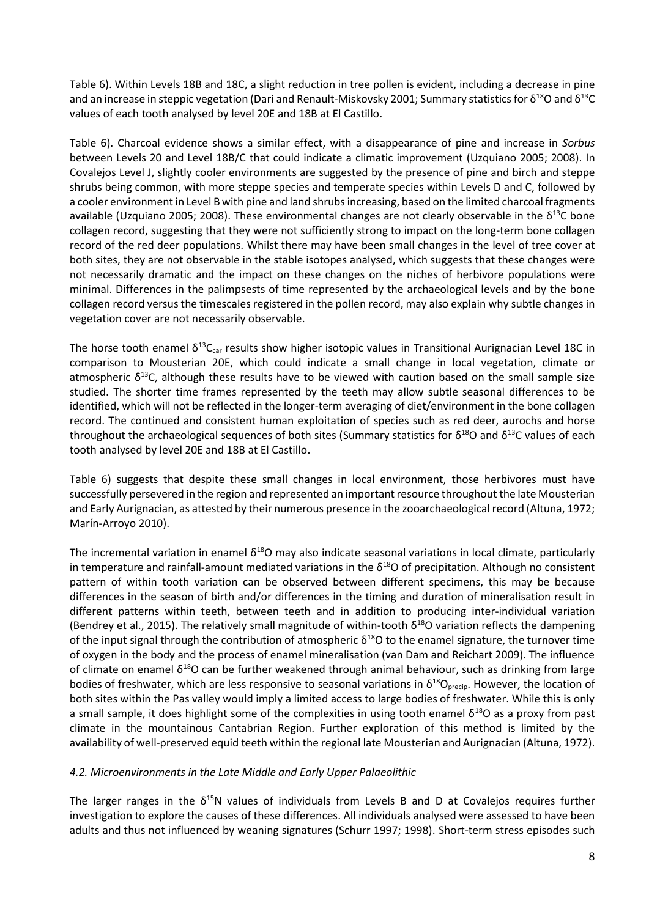[Table 6\)](#page-11-10). Within Levels 18B and 18C, a slight reduction in tree pollen is evident, including a decrease in pine and an increase in steppic vegetation (Dari and Renault-Miskovsky 2001[; Summary statistics](#page-11-10) for  $\delta^{18}O$  and  $\delta^{13}O$ [values of each tooth analysed by level 20E and 18B at El Castillo.](#page-11-10)

[Table 6\)](#page-11-10). Charcoal evidence shows a similar effect, with a disappearance of pine and increase in *Sorbus* between Levels 20 and Level 18B/C that could indicate a climatic improvement (Uzquiano 2005; 2008). In Covalejos Level J, slightly cooler environments are suggested by the presence of pine and birch and steppe shrubs being common, with more steppe species and temperate species within Levels D and C, followed by a cooler environment in Level B with pine and land shrubs increasing, based on the limited charcoal fragments available (Uzquiano 2005; 2008). These environmental changes are not clearly observable in the  $\delta^{13}$ C bone collagen record, suggesting that they were not sufficiently strong to impact on the long-term bone collagen record of the red deer populations. Whilst there may have been small changes in the level of tree cover at both sites, they are not observable in the stable isotopes analysed, which suggests that these changes were not necessarily dramatic and the impact on these changes on the niches of herbivore populations were minimal. Differences in the palimpsests of time represented by the archaeological levels and by the bone collagen record versus the timescales registered in the pollen record, may also explain why subtle changes in vegetation cover are not necessarily observable.

The horse tooth enamel  $\delta^{13}C_{car}$  results show higher isotopic values in Transitional Aurignacian Level 18C in comparison to Mousterian 20E, which could indicate a small change in local vegetation, climate or atmospheric  $\delta^{13}$ C, although these results have to be viewed with caution based on the small sample size studied. The shorter time frames represented by the teeth may allow subtle seasonal differences to be identified, which will not be reflected in the longer-term averaging of diet/environment in the bone collagen record. The continued and consistent human exploitation of species such as red deer, aurochs and horse throughout the archaeological sequences of both sites [\(Summary statistics](#page-11-10) for  $\delta^{18}$ O and  $\delta^{13}$ C values of each [tooth analysed by level 20E and 18B at El Castillo.](#page-11-10)

[Table 6\)](#page-11-10) suggests that despite these small changes in local environment, those herbivores must have successfully persevered in the region and represented an important resource throughout the late Mousterian and Early Aurignacian, as attested by their numerous presence in the zooarchaeological record (Altuna, 1972; Marín-Arroyo 2010).

The incremental variation in enamel  $\delta^{18}$ O may also indicate seasonal variations in local climate, particularly in temperature and rainfall-amount mediated variations in the  $\delta^{18}$ O of precipitation. Although no consistent pattern of within tooth variation can be observed between different specimens, this may be because differences in the season of birth and/or differences in the timing and duration of mineralisation result in different patterns within teeth, between teeth and in addition to producing inter-individual variation (Bendrey et al., 2015). The relatively small magnitude of within-tooth  $\delta^{18}$ O variation reflects the dampening of the input signal through the contribution of atmospheric  $\delta^{18}$ O to the enamel signature, the turnover time of oxygen in the body and the process of enamel mineralisation (van Dam and Reichart 2009). The influence of climate on enamel  $\delta^{18}O$  can be further weakened through animal behaviour, such as drinking from large bodies of freshwater, which are less responsive to seasonal variations in  $\delta^{18}O_{\text{precip}}$ . However, the location of both sites within the Pas valley would imply a limited access to large bodies of freshwater. While this is only a small sample, it does highlight some of the complexities in using tooth enamel  $\delta^{18}$ O as a proxy from past climate in the mountainous Cantabrian Region. Further exploration of this method is limited by the availability of well-preserved equid teeth within the regional late Mousterian and Aurignacian (Altuna, 1972).

#### *4.2. Microenvironments in the Late Middle and Early Upper Palaeolithic*

The larger ranges in the  $\delta^{15}N$  values of individuals from Levels B and D at Covalejos requires further investigation to explore the causes of these differences. All individuals analysed were assessed to have been adults and thus not influenced by weaning signatures (Schurr 1997; 1998). Short-term stress episodes such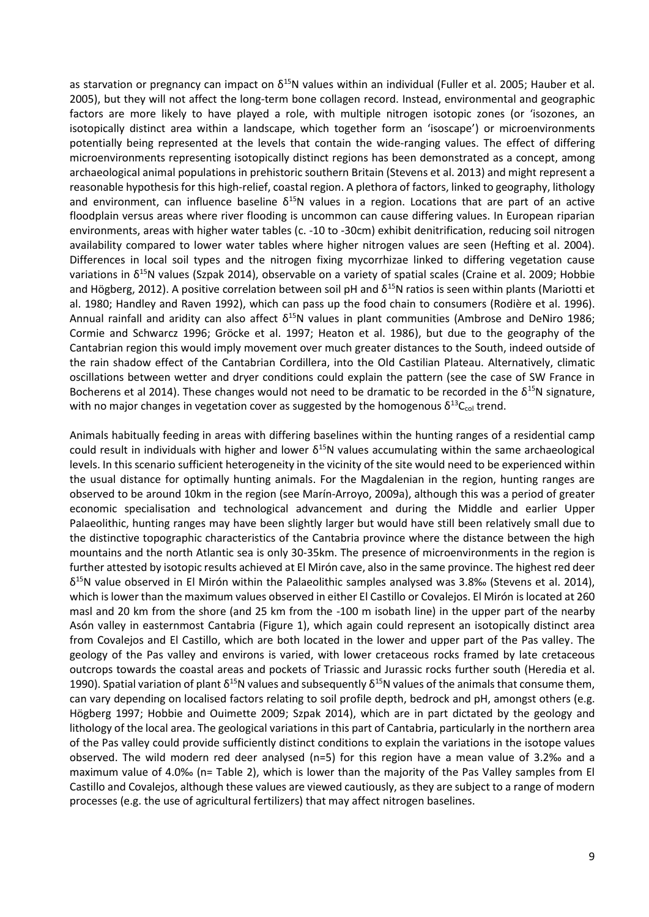as starvation or pregnancy can impact on  $\delta^{15}N$  values within an individual (Fuller et al. 2005; Hauber et al. 2005), but they will not affect the long-term bone collagen record. Instead, environmental and geographic factors are more likely to have played a role, with multiple nitrogen isotopic zones (or 'isozones, an isotopically distinct area within a landscape, which together form an 'isoscape') or microenvironments potentially being represented at the levels that contain the wide-ranging values. The effect of differing microenvironments representing isotopically distinct regions has been demonstrated as a concept, among archaeological animal populations in prehistoric southern Britain (Stevens et al. 2013) and might represent a reasonable hypothesis for this high-relief, coastal region. A plethora of factors, linked to geography, lithology and environment, can influence baseline  $\delta^{15}N$  values in a region. Locations that are part of an active floodplain versus areas where river flooding is uncommon can cause differing values. In European riparian environments, areas with higher water tables (c. -10 to -30cm) exhibit denitrification, reducing soil nitrogen availability compared to lower water tables where higher nitrogen values are seen (Hefting et al. 2004). Differences in local soil types and the nitrogen fixing mycorrhizae linked to differing vegetation cause variations in δ<sup>15</sup>N values (Szpak 2014), observable on a variety of spatial scales (Craine et al. 2009; Hobbie and Högberg, 2012). A positive correlation between soil pH and  $\delta^{15}$ N ratios is seen within plants (Mariotti et al. 1980; Handley and Raven 1992), which can pass up the food chain to consumers (Rodière et al. 1996). Annual rainfall and aridity can also affect  $\delta^{15}$ N values in plant communities (Ambrose and DeNiro 1986; Cormie and Schwarcz 1996; Gröcke et al. 1997; Heaton et al. 1986), but due to the geography of the Cantabrian region this would imply movement over much greater distances to the South, indeed outside of the rain shadow effect of the Cantabrian Cordillera, into the Old Castilian Plateau. Alternatively, climatic oscillations between wetter and dryer conditions could explain the pattern (see the case of SW France in Bocherens et al 2014). These changes would not need to be dramatic to be recorded in the  $\delta^{15}N$  signature, with no major changes in vegetation cover as suggested by the homogenous  $\delta^{13}C_{\text{col}}$  trend.

Animals habitually feeding in areas with differing baselines within the hunting ranges of a residential camp could result in individuals with higher and lower  $\delta^{15}N$  values accumulating within the same archaeological levels. In this scenario sufficient heterogeneity in the vicinity of the site would need to be experienced within the usual distance for optimally hunting animals. For the Magdalenian in the region, hunting ranges are observed to be around 10km in the region (see Marín-Arroyo, 2009a), although this was a period of greater economic specialisation and technological advancement and during the Middle and earlier Upper Palaeolithic, hunting ranges may have been slightly larger but would have still been relatively small due to the distinctive topographic characteristics of the Cantabria province where the distance between the high mountains and the north Atlantic sea is only 30-35km. The presence of microenvironments in the region is further attested by isotopic results achieved at El Mirón cave, also in the same province. The highest red deer  $\delta^{15}$ N value observed in El Mirón within the Palaeolithic samples analysed was 3.8‰ (Stevens et al. 2014), which is lower than the maximum values observed in either El Castillo or Covalejos. El Mirón is located at 260 masl and 20 km from the shore (and 25 km from the -100 m isobath line) in the upper part of the nearby Asón valley in easternmost Cantabria [\(Figure 1\)](#page-11-0), which again could represent an isotopically distinct area from Covalejos and El Castillo, which are both located in the lower and upper part of the Pas valley. The geology of the Pas valley and environs is varied, with lower cretaceous rocks framed by late cretaceous outcrops towards the coastal areas and pockets of Triassic and Jurassic rocks further south (Heredia et al. 1990). Spatial variation of plant  $\delta^{15}N$  values and subsequently  $\delta^{15}N$  values of the animals that consume them, can vary depending on localised factors relating to soil profile depth, bedrock and pH, amongst others (e.g. Högberg 1997; Hobbie and Ouimette 2009; Szpak 2014), which are in part dictated by the geology and lithology of the local area. The geological variations in this part of Cantabria, particularly in the northern area of the Pas valley could provide sufficiently distinct conditions to explain the variations in the isotope values observed. The wild modern red deer analysed (n=5) for this region have a mean value of 3.2‰ and a maximum value of 4.0‰ (n= [Table 2\)](#page-11-2), which is lower than the majority of the Pas Valley samples from El Castillo and Covalejos, although these values are viewed cautiously, as they are subject to a range of modern processes (e.g. the use of agricultural fertilizers) that may affect nitrogen baselines.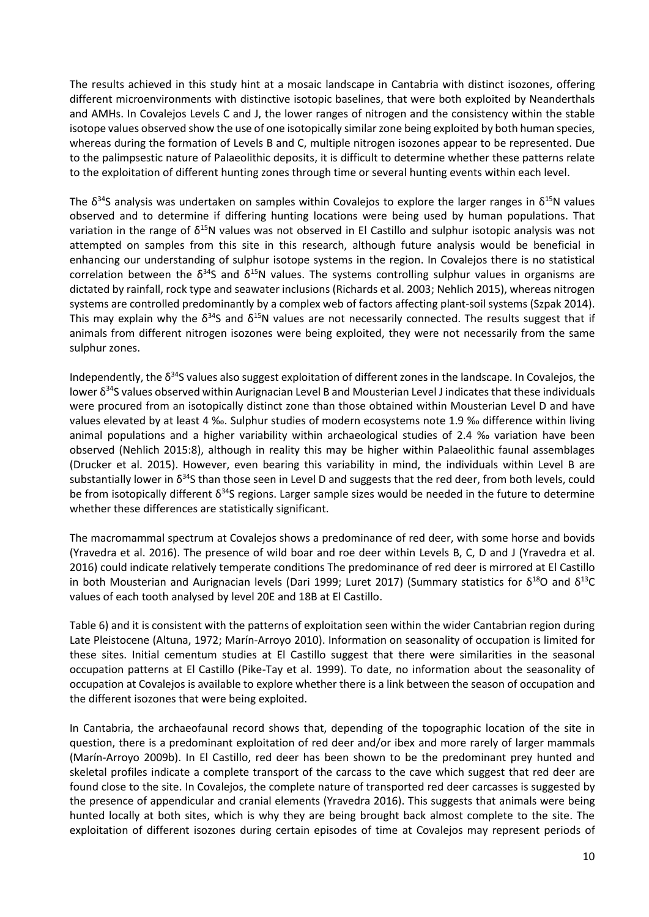The results achieved in this study hint at a mosaic landscape in Cantabria with distinct isozones, offering different microenvironments with distinctive isotopic baselines, that were both exploited by Neanderthals and AMHs. In Covalejos Levels C and J, the lower ranges of nitrogen and the consistency within the stable isotope values observed show the use of one isotopically similar zone being exploited by both human species, whereas during the formation of Levels B and C, multiple nitrogen isozones appear to be represented. Due to the palimpsestic nature of Palaeolithic deposits, it is difficult to determine whether these patterns relate to the exploitation of different hunting zones through time or several hunting events within each level.

The  $\delta^{34}$ S analysis was undertaken on samples within Covalejos to explore the larger ranges in  $\delta^{15}$ N values observed and to determine if differing hunting locations were being used by human populations. That variation in the range of  $\delta^{15}N$  values was not observed in El Castillo and sulphur isotopic analysis was not attempted on samples from this site in this research, although future analysis would be beneficial in enhancing our understanding of sulphur isotope systems in the region. In Covalejos there is no statistical correlation between the  $\delta^{34}S$  and  $\delta^{15}N$  values. The systems controlling sulphur values in organisms are dictated by rainfall, rock type and seawater inclusions (Richards et al. 2003; Nehlich 2015), whereas nitrogen systems are controlled predominantly by a complex web of factors affecting plant-soil systems (Szpak 2014). This may explain why the  $\delta^{34}$ S and  $\delta^{15}$ N values are not necessarily connected. The results suggest that if animals from different nitrogen isozones were being exploited, they were not necessarily from the same sulphur zones.

Independently, the  $\delta^{34}$ S values also suggest exploitation of different zones in the landscape. In Covalejos, the lower δ<sup>34</sup>S values observed within Aurignacian Level B and Mousterian Level J indicates that these individuals were procured from an isotopically distinct zone than those obtained within Mousterian Level D and have values elevated by at least 4 ‰. Sulphur studies of modern ecosystems note 1.9 ‰ difference within living animal populations and a higher variability within archaeological studies of 2.4 ‰ variation have been observed (Nehlich 2015:8), although in reality this may be higher within Palaeolithic faunal assemblages (Drucker et al. 2015). However, even bearing this variability in mind, the individuals within Level B are substantially lower in  $\delta^{34}$ S than those seen in Level D and suggests that the red deer, from both levels, could be from isotopically different  $\delta^{34}$ S regions. Larger sample sizes would be needed in the future to determine whether these differences are statistically significant.

The macromammal spectrum at Covalejos shows a predominance of red deer, with some horse and bovids (Yravedra et al. 2016). The presence of wild boar and roe deer within Levels B, C, D and J (Yravedra et al. 2016) could indicate relatively temperate conditions The predominance of red deer is mirrored at El Castillo in both Mousterian and Aurignacian levels (Dari 1999; Luret 2017) [\(Summary statistics](#page-11-10) for  $\delta^{18}O$  and  $\delta^{13}O$ [values of each tooth analysed by level 20E and 18B at El Castillo.](#page-11-10)

[Table 6\)](#page-11-10) and it is consistent with the patterns of exploitation seen within the wider Cantabrian region during Late Pleistocene (Altuna, 1972; Marín-Arroyo 2010). Information on seasonality of occupation is limited for these sites. Initial cementum studies at El Castillo suggest that there were similarities in the seasonal occupation patterns at El Castillo (Pike-Tay et al. 1999). To date, no information about the seasonality of occupation at Covalejos is available to explore whether there is a link between the season of occupation and the different isozones that were being exploited.

In Cantabria, the archaeofaunal record shows that, depending of the topographic location of the site in question, there is a predominant exploitation of red deer and/or ibex and more rarely of larger mammals (Marín-Arroyo 2009b). In El Castillo, red deer has been shown to be the predominant prey hunted and skeletal profiles indicate a complete transport of the carcass to the cave which suggest that red deer are found close to the site. In Covalejos, the complete nature of transported red deer carcasses is suggested by the presence of appendicular and cranial elements (Yravedra 2016). This suggests that animals were being hunted locally at both sites, which is why they are being brought back almost complete to the site. The exploitation of different isozones during certain episodes of time at Covalejos may represent periods of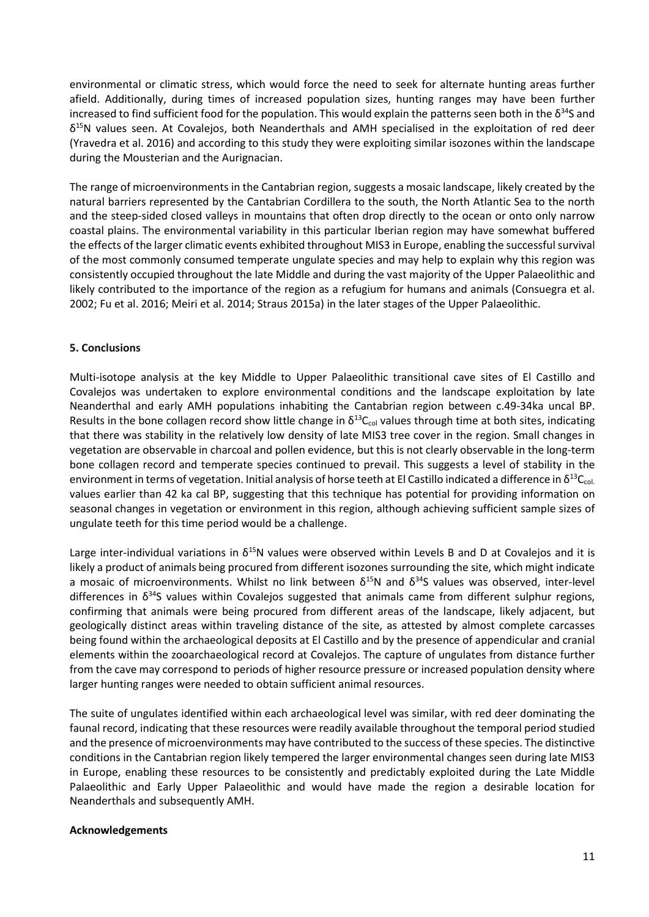environmental or climatic stress, which would force the need to seek for alternate hunting areas further afield. Additionally, during times of increased population sizes, hunting ranges may have been further increased to find sufficient food for the population. This would explain the patterns seen both in the  $\delta^{34}$ S and  $\delta^{15}$ N values seen. At Covalejos, both Neanderthals and AMH specialised in the exploitation of red deer (Yravedra et al. 2016) and according to this study they were exploiting similar isozones within the landscape during the Mousterian and the Aurignacian.

The range of microenvironments in the Cantabrian region, suggests a mosaic landscape, likely created by the natural barriers represented by the Cantabrian Cordillera to the south, the North Atlantic Sea to the north and the steep-sided closed valleys in mountains that often drop directly to the ocean or onto only narrow coastal plains. The environmental variability in this particular Iberian region may have somewhat buffered the effects of the larger climatic events exhibited throughout MIS3 in Europe, enabling the successful survival of the most commonly consumed temperate ungulate species and may help to explain why this region was consistently occupied throughout the late Middle and during the vast majority of the Upper Palaeolithic and likely contributed to the importance of the region as a refugium for humans and animals (Consuegra et al. 2002; Fu et al. 2016; Meiri et al. 2014; Straus 2015a) in the later stages of the Upper Palaeolithic.

#### **5. Conclusions**

Multi-isotope analysis at the key Middle to Upper Palaeolithic transitional cave sites of El Castillo and Covalejos was undertaken to explore environmental conditions and the landscape exploitation by late Neanderthal and early AMH populations inhabiting the Cantabrian region between c.49-34ka uncal BP. Results in the bone collagen record show little change in  $\delta^{13}C_{col}$  values through time at both sites, indicating that there was stability in the relatively low density of late MIS3 tree cover in the region. Small changes in vegetation are observable in charcoal and pollen evidence, but this is not clearly observable in the long-term bone collagen record and temperate species continued to prevail. This suggests a level of stability in the environment in terms of vegetation. Initial analysis of horse teeth at El Castillo indicated a difference in  $\delta^{13}C_{col}$ values earlier than 42 ka cal BP, suggesting that this technique has potential for providing information on seasonal changes in vegetation or environment in this region, although achieving sufficient sample sizes of ungulate teeth for this time period would be a challenge.

Large inter-individual variations in  $\delta^{15}N$  values were observed within Levels B and D at Covalejos and it is likely a product of animals being procured from different isozones surrounding the site, which might indicate a mosaic of microenvironments. Whilst no link between  $\delta^{15}N$  and  $\delta^{34}S$  values was observed, inter-level differences in  $\delta^{34}$ S values within Covalejos suggested that animals came from different sulphur regions, confirming that animals were being procured from different areas of the landscape, likely adjacent, but geologically distinct areas within traveling distance of the site, as attested by almost complete carcasses being found within the archaeological deposits at El Castillo and by the presence of appendicular and cranial elements within the zooarchaeological record at Covalejos. The capture of ungulates from distance further from the cave may correspond to periods of higher resource pressure or increased population density where larger hunting ranges were needed to obtain sufficient animal resources.

The suite of ungulates identified within each archaeological level was similar, with red deer dominating the faunal record, indicating that these resources were readily available throughout the temporal period studied and the presence of microenvironments may have contributed to the success of these species. The distinctive conditions in the Cantabrian region likely tempered the larger environmental changes seen during late MIS3 in Europe, enabling these resources to be consistently and predictably exploited during the Late Middle Palaeolithic and Early Upper Palaeolithic and would have made the region a desirable location for Neanderthals and subsequently AMH.

#### **Acknowledgements**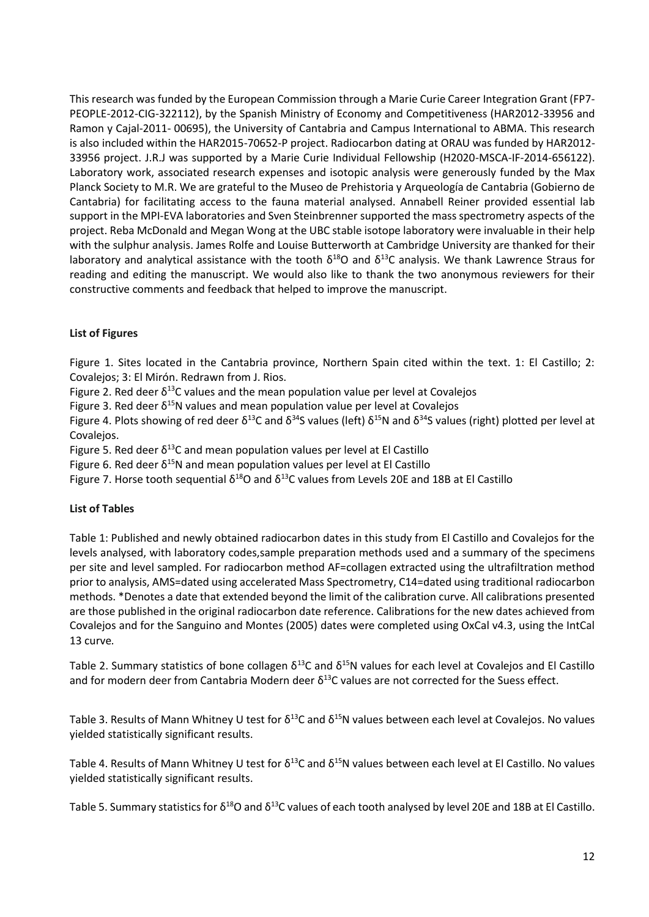This research was funded by the European Commission through a Marie Curie Career Integration Grant (FP7- PEOPLE-2012-CIG-322112), by the Spanish Ministry of Economy and Competitiveness (HAR2012-33956 and Ramon y Cajal-2011- 00695), the University of Cantabria and Campus International to ABMA. This research is also included within the HAR2015-70652-P project. Radiocarbon dating at ORAU was funded by HAR2012- 33956 project. J.R.J was supported by a Marie Curie Individual Fellowship (H2020-MSCA-IF-2014-656122). Laboratory work, associated research expenses and isotopic analysis were generously funded by the Max Planck Society to M.R. We are grateful to the Museo de Prehistoria y Arqueología de Cantabria (Gobierno de Cantabria) for facilitating access to the fauna material analysed. Annabell Reiner provided essential lab support in the MPI-EVA laboratories and Sven Steinbrenner supported the mass spectrometry aspects of the project. Reba McDonald and Megan Wong at the UBC stable isotope laboratory were invaluable in their help with the sulphur analysis. James Rolfe and Louise Butterworth at Cambridge University are thanked for their laboratory and analytical assistance with the tooth  $\delta^{18}$ O and  $\delta^{13}$ C analysis. We thank Lawrence Straus for reading and editing the manuscript. We would also like to thank the two anonymous reviewers for their constructive comments and feedback that helped to improve the manuscript.

## **List of Figures**

<span id="page-11-3"></span><span id="page-11-0"></span>Figure 1. Sites located in the Cantabria province, Northern Spain cited within the text. 1: El Castillo; 2: Covalejos; 3: El Mirón. Redrawn from J. Rios.

Figure 2. Red deer  $\delta^{13}$ C values and the mean population value per level at Covaleios

Figure 3. Red deer  $\delta^{15}N$  values and mean population value per level at Covalejos

<span id="page-11-5"></span>Figure 4. Plots showing of red deer  $δ^{13}C$  and  $δ^{34}S$  values (left)  $δ^{15}N$  and  $δ^{34}S$  values (right) plotted per level at Covalejos.

<span id="page-11-6"></span>Figure 5. Red deer  $\delta^{13}$ C and mean population values per level at El Castillo

<span id="page-11-8"></span>Figure 6. Red deer  $\delta^{15}N$  and mean population values per level at El Castillo

<span id="page-11-9"></span>Figure 7. Horse tooth sequential  $\delta^{18}$ O and  $\delta^{13}$ C values from Levels 20E and 18B at El Castillo

## **List of Tables**

<span id="page-11-1"></span>Table 1: Published and newly obtained radiocarbon dates in this study from El Castillo and Covalejos for the levels analysed, with laboratory codes,sample preparation methods used and a summary of the specimens per site and level sampled. For radiocarbon method AF=collagen extracted using the ultrafiltration method prior to analysis, AMS=dated using accelerated Mass Spectrometry, C14=dated using traditional radiocarbon methods. \*Denotes a date that extended beyond the limit of the calibration curve. All calibrations presented are those published in the original radiocarbon date reference. Calibrations for the new dates achieved from Covalejos and for the Sanguino and Montes (2005) dates were completed using OxCal v4.3, using the IntCal 13 curve*.* 

<span id="page-11-2"></span>Table 2. Summary statistics of bone collagen  $\delta^{13}$ C and  $\delta^{15}$ N values for each level at Covaleios and El Castillo and for modern deer from Cantabria Modern deer  $\delta^{13}$ C values are not corrected for the Suess effect.

<span id="page-11-4"></span>Table 3. Results of Mann Whitney U test for  $\delta^{13}$ C and  $\delta^{15}$ N values between each level at Covalejos. No values yielded statistically significant results.

<span id="page-11-7"></span>Table 4. Results of Mann Whitney U test for  $\delta^{13}$ C and  $\delta^{15}$ N values between each level at El Castillo. No values yielded statistically significant results.

<span id="page-11-10"></span>Table 5. Summary statistics for  $\delta^{18}$ O and  $\delta^{13}$ C values of each tooth analysed by level 20E and 18B at El Castillo.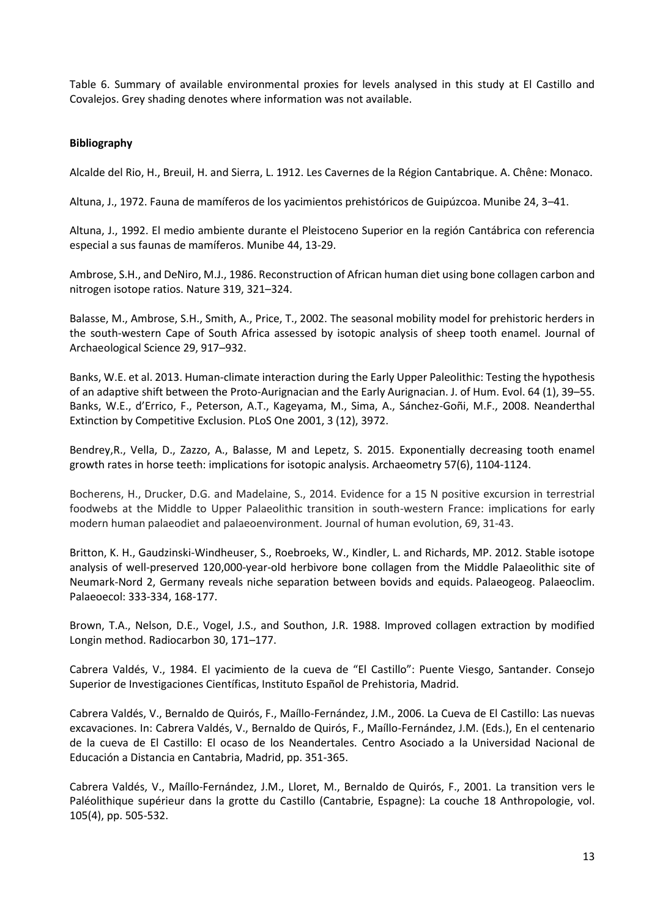Table 6. Summary of available environmental proxies for levels analysed in this study at El Castillo and Covalejos. Grey shading denotes where information was not available.

#### **Bibliography**

Alcalde del Rio, H., Breuil, H. and Sierra, L. 1912. Les Cavernes de la Région Cantabrique. A. Chêne: Monaco.

Altuna, J., 1972. Fauna de mamíferos de los yacimientos prehistóricos de Guipúzcoa. Munibe 24, 3–41.

Altuna, J., 1992. El medio ambiente durante el Pleistoceno Superior en la región Cantábrica con referencia especial a sus faunas de mamíferos. Munibe 44, 13-29.

Ambrose, S.H., and DeNiro, M.J., 1986. Reconstruction of African human diet using bone collagen carbon and nitrogen isotope ratios. Nature 319, 321–324.

Balasse, M., Ambrose, S.H., Smith, A., Price, T., 2002. The seasonal mobility model for prehistoric herders in the south-western Cape of South Africa assessed by isotopic analysis of sheep tooth enamel. Journal of Archaeological Science 29, 917–932.

Banks, W.E. et al. 2013. Human-climate interaction during the Early Upper Paleolithic: Testing the hypothesis of an adaptive shift between the Proto-Aurignacian and the Early Aurignacian. J. of Hum. Evol. 64 (1), 39–55. Banks, W.E., d'Errico, F., Peterson, A.T., Kageyama, M., Sima, A., Sánchez-Goñi, M.F., 2008. Neanderthal Extinction by Competitive Exclusion. PLoS One 2001, 3 (12), 3972.

Bendrey,R., Vella, D., Zazzo, A., Balasse, M and Lepetz, S. 2015. Exponentially decreasing tooth enamel growth rates in horse teeth: implications for isotopic analysis. Archaeometry 57(6), 1104-1124.

Bocherens, H., Drucker, D.G. and Madelaine, S., 2014. Evidence for a 15 N positive excursion in terrestrial foodwebs at the Middle to Upper Palaeolithic transition in south-western France: implications for early modern human palaeodiet and palaeoenvironment. Journal of human evolution, 69, 31-43.

Britton, K. H., Gaudzinski-Windheuser, S., Roebroeks, W., Kindler, L. and Richards, MP. 2012. Stable isotope analysis of well-preserved 120,000-year-old herbivore bone collagen from the Middle Palaeolithic site of Neumark-Nord 2, Germany reveals niche separation between bovids and equids. Palaeogeog. Palaeoclim. Palaeoecol: 333-334, 168-177.

Brown, T.A., Nelson, D.E., Vogel, J.S., and Southon, J.R. 1988. Improved collagen extraction by modified Longin method. Radiocarbon 30, 171–177.

Cabrera Valdés, V., 1984. El yacimiento de la cueva de "El Castillo": Puente Viesgo, Santander. Consejo Superior de Investigaciones Científicas, Instituto Español de Prehistoria, Madrid.

Cabrera Valdés, V., Bernaldo de Quirós, F., Maíllo-Fernández, J.M., 2006. La Cueva de El Castillo: Las nuevas excavaciones. In: Cabrera Valdés, V., Bernaldo de Quirós, F., Maíllo-Fernández, J.M. (Eds.), En el centenario de la cueva de El Castillo: El ocaso de los Neandertales. Centro Asociado a la Universidad Nacional de Educación a Distancia en Cantabria, Madrid, pp. 351-365.

Cabrera Valdés, V., Maíllo-Fernández, J.M., Lloret, M., Bernaldo de Quirós, F., 2001. La transition vers le Paléolithique supérieur dans la grotte du Castillo (Cantabrie, Espagne): La couche 18 Anthropologie, vol. 105(4), pp. 505-532.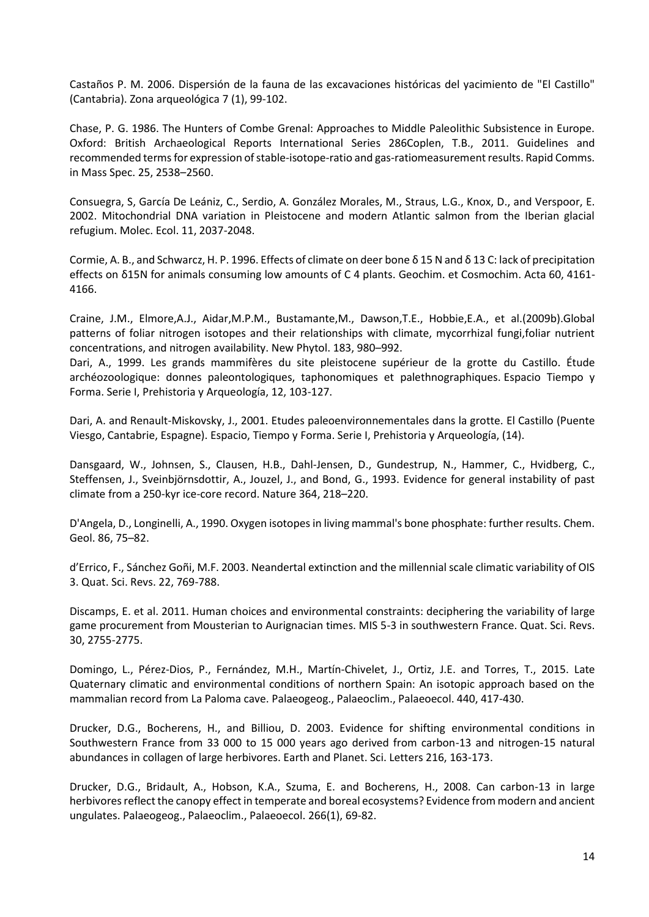Castaños P. M. 2006. [Dispersión de la fauna de las excavaciones históricas del yacimiento de "El Castillo"](https://dialnet.unirioja.es/servlet/articulo?codigo=2259116)  [\(Cantabria\).](https://dialnet.unirioja.es/servlet/articulo?codigo=2259116) [Zona arqueológica](https://dialnet.unirioja.es/servlet/revista?codigo=2032) 7 (1), 99-102.

Chase, P. G. 1986. The Hunters of Combe Grenal: Approaches to Middle Paleolithic Subsistence in Europe. Oxford: British Archaeological Reports International Series 286Coplen, T.B., 2011. Guidelines and recommended terms for expression of stable‐isotope‐ratio and gas‐ratiomeasurement results. Rapid Comms. in Mass Spec. 25, 2538–2560.

Consuegra, S, García De Leániz, C., Serdio, A. González Morales, M., Straus, L.G., Knox, D., and Verspoor, E. 2002. Mitochondrial DNA variation in Pleistocene and modern Atlantic salmon from the Iberian glacial refugium. Molec. Ecol. 11, 2037-2048.

Cormie, A. B., and Schwarcz, H. P. 1996. Effects of climate on deer bone δ 15 N and δ 13 C: lack of precipitation effects on δ15N for animals consuming low amounts of C 4 plants. Geochim. et Cosmochim. Acta 60, 4161- 4166.

Craine, J.M., Elmore,A.J., Aidar,M.P.M., Bustamante,M., Dawson,T.E., Hobbie,E.A., et al.(2009b).Global patterns of foliar nitrogen isotopes and their relationships with climate, mycorrhizal fungi,foliar nutrient concentrations, and nitrogen availability. New Phytol. 183, 980–992.

Dari, A., 1999. Les grands mammifères du site pleistocene supérieur de la grotte du Castillo. Étude archéozoologique: donnes paleontologiques, taphonomiques et palethnographiques. Espacio Tiempo y Forma. Serie I, Prehistoria y Arqueología, 12, 103-127.

Dari, A. and Renault-Miskovsky, J., 2001. Etudes paleoenvironnementales dans la grotte. El Castillo (Puente Viesgo, Cantabrie, Espagne). Espacio, Tiempo y Forma. Serie I, Prehistoria y Arqueología, (14).

Dansgaard, W., Johnsen, S., Clausen, H.B., Dahl-Jensen, D., Gundestrup, N., Hammer, C., Hvidberg, C., Steffensen, J., Sveinbjörnsdottir, A., Jouzel, J., and Bond, G., 1993. Evidence for general instability of past climate from a 250-kyr ice-core record. Nature 364, 218–220.

D'Angela, D., Longinelli, A., 1990. Oxygen isotopes in living mammal's bone phosphate: further results. Chem. Geol. 86, 75–82.

d'Errico, F., Sánchez Goñi, M.F. 2003. Neandertal extinction and the millennial scale climatic variability of OIS 3. Quat. Sci. Revs. 22, 769-788.

Discamps, E. et al. 2011. Human choices and environmental constraints: deciphering the variability of large game procurement from Mousterian to Aurignacian times. MIS 5-3 in southwestern France. Quat. Sci. Revs. 30, 2755-2775.

Domingo, L., Pérez-Dios, P., Fernández, M.H., Martín-Chivelet, J., Ortiz, J.E. and Torres, T., 2015. Late Quaternary climatic and environmental conditions of northern Spain: An isotopic approach based on the mammalian record from La Paloma cave. Palaeogeog., Palaeoclim., Palaeoecol. 440, 417-430.

Drucker, D.G., Bocherens, H., and Billiou, D. 2003. Evidence for shifting environmental conditions in Southwestern France from 33 000 to 15 000 years ago derived from carbon-13 and nitrogen-15 natural abundances in collagen of large herbivores. Earth and Planet. Sci. Letters 216, 163-173.

Drucker, D.G., Bridault, A., Hobson, K.A., Szuma, E. and Bocherens, H., 2008. Can carbon-13 in large herbivores reflect the canopy effect in temperate and boreal ecosystems? Evidence from modern and ancient ungulates. Palaeogeog., Palaeoclim., Palaeoecol. 266(1), 69-82.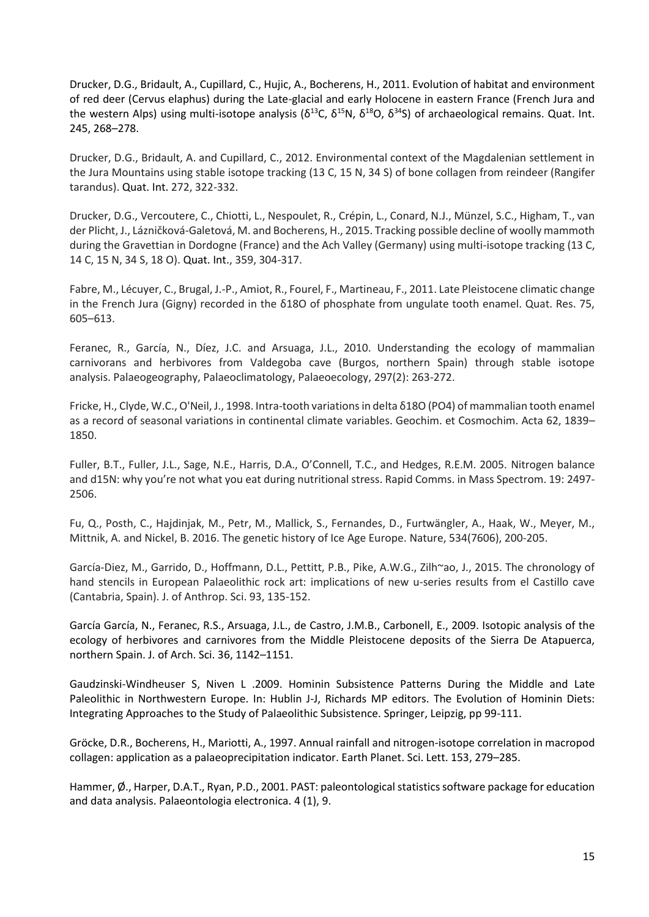Drucker, D.G., Bridault, A., Cupillard, C., Hujic, A., Bocherens, H., 2011. Evolution of habitat and environment of red deer (Cervus elaphus) during the Late-glacial and early Holocene in eastern France (French Jura and the western Alps) using multi-isotope analysis ( $\delta^{13}$ C,  $\delta^{15}$ N,  $\delta^{18}$ O,  $\delta^{34}$ S) of archaeological remains. Quat. Int. 245, 268–278.

Drucker, D.G., Bridault, A. and Cupillard, C., 2012. Environmental context of the Magdalenian settlement in the Jura Mountains using stable isotope tracking (13 C, 15 N, 34 S) of bone collagen from reindeer (Rangifer tarandus). Quat. Int. 272, 322-332.

Drucker, D.G., Vercoutere, C., Chiotti, L., Nespoulet, R., Crépin, L., Conard, N.J., Münzel, S.C., Higham, T., van der Plicht, J., Lázničková-Galetová, M. and Bocherens, H., 2015. Tracking possible decline of woolly mammoth during the Gravettian in Dordogne (France) and the Ach Valley (Germany) using multi-isotope tracking (13 C, 14 C, 15 N, 34 S, 18 O). Quat. Int., 359, 304-317.

Fabre, M., Lécuyer, C., Brugal, J.-P., Amiot, R., Fourel, F., Martineau, F., 2011. Late Pleistocene climatic change in the French Jura (Gigny) recorded in the δ18O of phosphate from ungulate tooth enamel. Quat. Res. 75, 605–613.

Feranec, R., García, N., Díez, J.C. and Arsuaga, J.L., 2010. Understanding the ecology of mammalian carnivorans and herbivores from Valdegoba cave (Burgos, northern Spain) through stable isotope analysis. Palaeogeography, Palaeoclimatology, Palaeoecology, 297(2): 263-272.

Fricke, H., Clyde, W.C., O'Neil, J., 1998. Intra-tooth variations in delta δ18O (PO4) of mammalian tooth enamel as a record of seasonal variations in continental climate variables. Geochim. et Cosmochim. Acta 62, 1839– 1850.

Fuller, B.T., Fuller, J.L., Sage, N.E., Harris, D.A., O'Connell, T.C., and Hedges, R.E.M. 2005. Nitrogen balance and d15N: why you're not what you eat during nutritional stress. Rapid Comms. in Mass Spectrom. 19: 2497- 2506.

Fu, Q., Posth, C., Hajdinjak, M., Petr, M., Mallick, S., Fernandes, D., Furtwängler, A., Haak, W., Meyer, M., Mittnik, A. and Nickel, B. 2016. The genetic history of Ice Age Europe. Nature, 534(7606), 200-205.

García-Diez, M., Garrido, D., Hoffmann, D.L., Pettitt, P.B., Pike, A.W.G., Zilh~ao, J., 2015. The chronology of hand stencils in European Palaeolithic rock art: implications of new u-series results from el Castillo cave (Cantabria, Spain). J. of Anthrop. Sci. 93, 135-152.

García García, N., Feranec, R.S., Arsuaga, J.L., de Castro, J.M.B., Carbonell, E., 2009. Isotopic analysis of the ecology of herbivores and carnivores from the Middle Pleistocene deposits of the Sierra De Atapuerca, northern Spain. J. of Arch. Sci. 36, 1142–1151.

Gaudzinski-Windheuser S, Niven L .2009. Hominin Subsistence Patterns During the Middle and Late Paleolithic in Northwestern Europe. In: Hublin J-J, Richards MP editors. The Evolution of Hominin Diets: Integrating Approaches to the Study of Palaeolithic Subsistence. Springer, Leipzig, pp 99-111.

Gröcke, D.R., Bocherens, H., Mariotti, A., 1997. Annual rainfall and nitrogen-isotope correlation in macropod collagen: application as a palaeoprecipitation indicator. Earth Planet. Sci. Lett. 153, 279–285.

Hammer, Ø., Harper, D.A.T., Ryan, P.D., 2001. PAST: paleontological statistics software package for education and data analysis. Palaeontologia electronica. 4 (1), 9.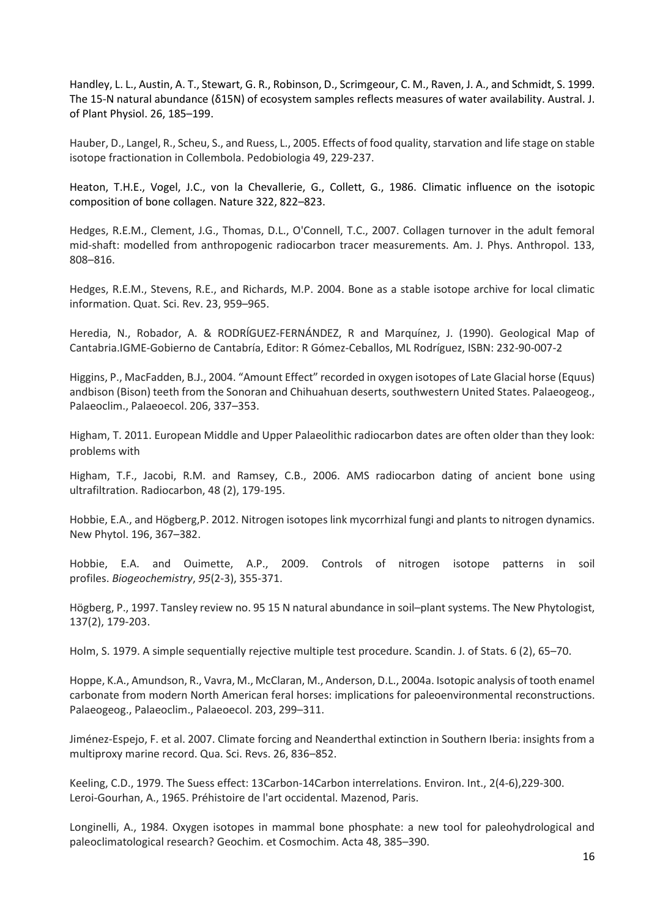Handley, L. L., Austin, A. T., Stewart, G. R., Robinson, D., Scrimgeour, C. M., Raven, J. A., and Schmidt, S. 1999. The 15-N natural abundance (δ15N) of ecosystem samples reflects measures of water availability. Austral. J. of Plant Physiol. 26, 185–199.

Hauber, D., Langel, R., Scheu, S., and Ruess, L., 2005. Effects of food quality, starvation and life stage on stable isotope fractionation in Collembola. Pedobiologia 49, 229-237.

Heaton, T.H.E., Vogel, J.C., von la Chevallerie, G., Collett, G., 1986. Climatic influence on the isotopic composition of bone collagen. Nature 322, 822–823.

Hedges, R.E.M., Clement, J.G., Thomas, D.L., O'Connell, T.C., 2007. Collagen turnover in the adult femoral mid-shaft: modelled from anthropogenic radiocarbon tracer measurements. Am. J. Phys. Anthropol. 133, 808–816.

Hedges, R.E.M., Stevens, R.E., and Richards, M.P. 2004. Bone as a stable isotope archive for local climatic information. Quat. Sci. Rev. 23, 959–965.

Heredia, N., Robador, A. & RODRÍGUEZ-FERNÁNDEZ, R and Marquínez, J. (1990). Geological Map of Cantabria.IGME-Gobierno de Cantabría, Editor: R Gómez-Ceballos, ML Rodríguez, ISBN: 232-90-007-2

Higgins, P., MacFadden, B.J., 2004. "Amount Effect" recorded in oxygen isotopes of Late Glacial horse (Equus) andbison (Bison) teeth from the Sonoran and Chihuahuan deserts, southwestern United States. Palaeogeog., Palaeoclim., Palaeoecol. 206, 337–353.

Higham, T. 2011. European Middle and Upper Palaeolithic radiocarbon dates are often older than they look: problems with

Higham, T.F., Jacobi, R.M. and Ramsey, C.B., 2006. AMS radiocarbon dating of ancient bone using ultrafiltration. Radiocarbon, 48 (2), 179-195.

Hobbie, E.A., and Högberg,P. 2012. Nitrogen isotopes link mycorrhizal fungi and plants to nitrogen dynamics. New Phytol. 196, 367–382.

Hobbie, E.A. and Ouimette, A.P., 2009. Controls of nitrogen isotope patterns in soil profiles. *Biogeochemistry*, *95*(2-3), 355-371.

Högberg, P., 1997. Tansley review no. 95 15 N natural abundance in soil–plant systems. The New Phytologist, 137(2), 179-203.

Holm, S. 1979. A simple sequentially rejective multiple test procedure. Scandin. J. of Stats. 6 (2), 65–70.

Hoppe, K.A., Amundson, R., Vavra, M., McClaran, M., Anderson, D.L., 2004a. Isotopic analysis of tooth enamel carbonate from modern North American feral horses: implications for paleoenvironmental reconstructions. Palaeogeog., Palaeoclim., Palaeoecol. 203, 299–311.

Jiménez-Espejo, F. et al. 2007. Climate forcing and Neanderthal extinction in Southern Iberia: insights from a multiproxy marine record. Qua. Sci. Revs. 26, 836–852.

Keeling, C.D., 1979. The Suess effect: 13Carbon-14Carbon interrelations. Environ. Int., 2(4-6),229-300. Leroi-Gourhan, A., 1965. Préhistoire de l'art occidental. Mazenod, Paris.

Longinelli, A., 1984. Oxygen isotopes in mammal bone phosphate: a new tool for paleohydrological and paleoclimatological research? Geochim. et Cosmochim. Acta 48, 385–390.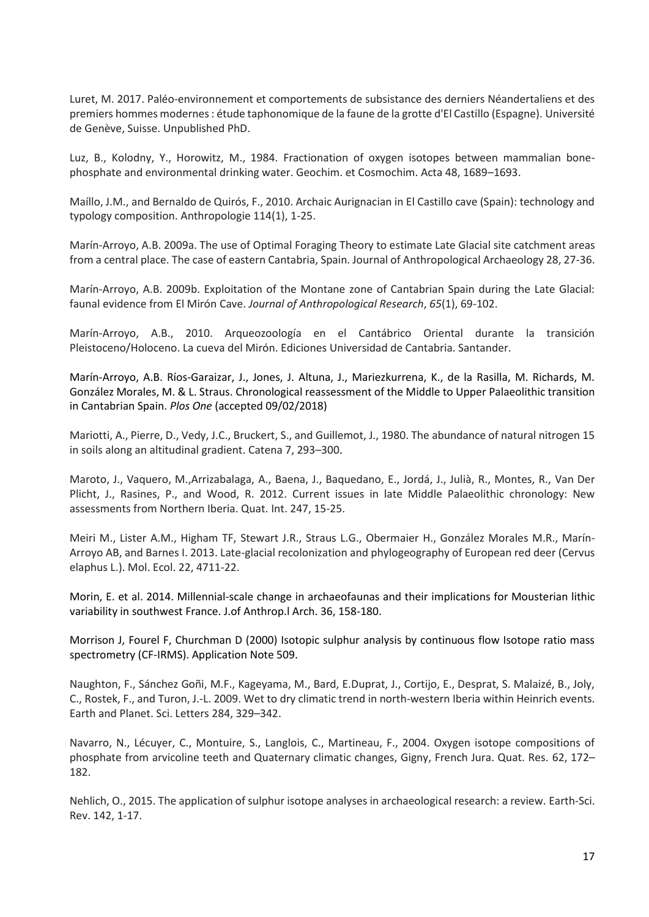Luret, M. 2017. Paléo-environnement et comportements de subsistance des derniers Néandertaliens et des premiers hommes modernes : étude taphonomique de la faune de la grotte d'El Castillo (Espagne). Université de Genève, Suisse. Unpublished PhD.

Luz, B., Kolodny, Y., Horowitz, M., 1984. Fractionation of oxygen isotopes between mammalian bonephosphate and environmental drinking water. Geochim. et Cosmochim. Acta 48, 1689–1693.

Maíllo, J.M., and Bernaldo de Quirós, F., 2010. Archaic Aurignacian in El Castillo cave (Spain): technology and typology composition. Anthropologie 114(1), 1-25.

Marín-Arroyo, A.B. 2009a. The use of Optimal Foraging Theory to estimate Late Glacial site catchment areas from a central place. The case of eastern Cantabria, Spain. Journal of Anthropological Archaeology 28, 27-36.

Marín-Arroyo, A.B. 2009b. Exploitation of the Montane zone of Cantabrian Spain during the Late Glacial: faunal evidence from El Mirón Cave. *Journal of Anthropological Research*, *65*(1), 69-102.

Marín-Arroyo, A.B., 2010. Arqueozoología en el Cantábrico Oriental durante la transición Pleistoceno/Holoceno. La cueva del Mirón. Ediciones Universidad de Cantabria. Santander.

Marín-Arroyo, A.B. Ríos-Garaizar, J., Jones, J. Altuna, J., Mariezkurrena, K., de la Rasilla, M. Richards, M. González Morales, M. & L. Straus. Chronological reassessment of the Middle to Upper Palaeolithic transition in Cantabrian Spain. *Plos One* (accepted 09/02/2018)

Mariotti, A., Pierre, D., Vedy, J.C., Bruckert, S., and Guillemot, J., 1980. The abundance of natural nitrogen 15 in soils along an altitudinal gradient. Catena 7, 293–300.

Maroto, J., Vaquero, M.,Arrizabalaga, A., Baena, J., Baquedano, E., Jordá, J., Julià, R., Montes, R., Van Der Plicht, J., Rasines, P., and Wood, R. 2012. Current issues in late Middle Palaeolithic chronology: New assessments from Northern Iberia. Quat. Int. 247, 15-25.

Meiri M., Lister A.M., Higham TF, Stewart J.R., Straus L.G., Obermaier H., González Morales M.R., Marín-Arroyo AB, and Barnes I. 2013. Late-glacial recolonization and phylogeography of European red deer (Cervus elaphus L.). Mol. Ecol. 22, 4711-22.

Morin, E. et al. 2014. Millennial-scale change in archaeofaunas and their implications for Mousterian lithic variability in southwest France. J.of Anthrop.l Arch. 36, 158-180.

Morrison J, Fourel F, Churchman D (2000) Isotopic sulphur analysis by continuous flow Isotope ratio mass spectrometry (CF-IRMS). Application Note 509.

Naughton, F., Sánchez Goñi, M.F., Kageyama, M., Bard, E.Duprat, J., Cortijo, E., Desprat, S. Malaizé, B., Joly, C., Rostek, F., and Turon, J.-L. 2009. Wet to dry climatic trend in north-western Iberia within Heinrich events. Earth and Planet. Sci. Letters 284, 329–342.

Navarro, N., Lécuyer, C., Montuire, S., Langlois, C., Martineau, F., 2004. Oxygen isotope compositions of phosphate from arvicoline teeth and Quaternary climatic changes, Gigny, French Jura. Quat. Res. 62, 172– 182.

Nehlich, O., 2015. The application of sulphur isotope analyses in archaeological research: a review. Earth-Sci. Rev. 142, 1-17.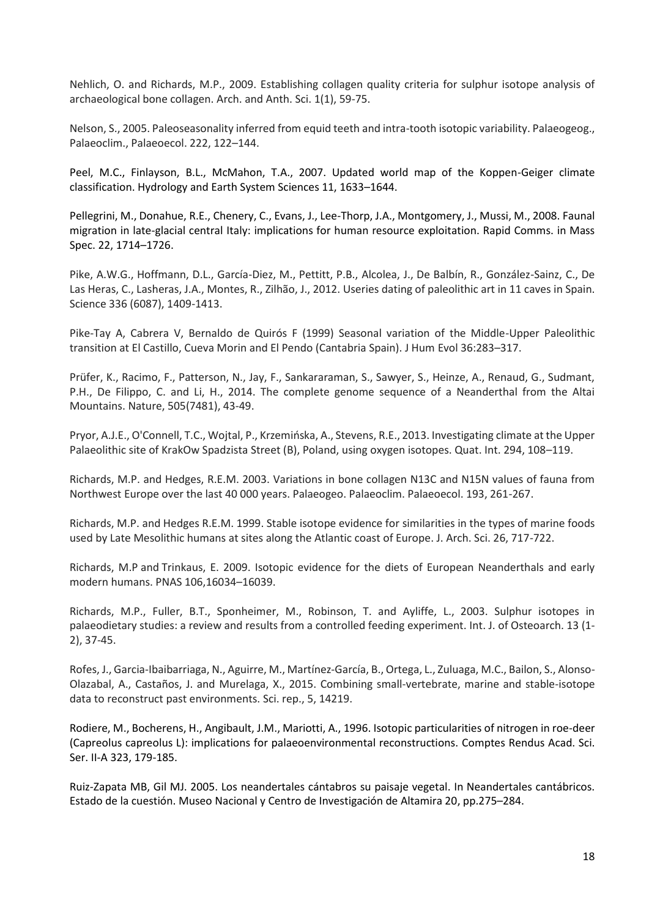Nehlich, O. and Richards, M.P., 2009. Establishing collagen quality criteria for sulphur isotope analysis of archaeological bone collagen. Arch. and Anth. Sci. 1(1), 59-75.

Nelson, S., 2005. Paleoseasonality inferred from equid teeth and intra-tooth isotopic variability. Palaeogeog., Palaeoclim., Palaeoecol. 222, 122–144.

Peel, M.C., Finlayson, B.L., McMahon, T.A., 2007. Updated world map of the Koppen-Geiger climate classification. Hydrology and Earth System Sciences 11, 1633–1644.

Pellegrini, M., Donahue, R.E., Chenery, C., Evans, J., Lee-Thorp, J.A., Montgomery, J., Mussi, M., 2008. Faunal migration in late-glacial central Italy: implications for human resource exploitation. Rapid Comms. in Mass Spec. 22, 1714–1726.

Pike, A.W.G., Hoffmann, D.L., García-Diez, M., Pettitt, P.B., Alcolea, J., De Balbín, R., González-Sainz, C., De Las Heras, C., Lasheras, J.A., Montes, R., Zilhão, J., 2012. Useries dating of paleolithic art in 11 caves in Spain. Science 336 (6087), 1409-1413.

Pike-Tay A, Cabrera V, Bernaldo de Quirós F (1999) Seasonal variation of the Middle-Upper Paleolithic transition at El Castillo, Cueva Morin and El Pendo (Cantabria Spain). J Hum Evol 36:283–317.

Prüfer, K., Racimo, F., Patterson, N., Jay, F., Sankararaman, S., Sawyer, S., Heinze, A., Renaud, G., Sudmant, P.H., De Filippo, C. and Li, H., 2014. The complete genome sequence of a Neanderthal from the Altai Mountains. Nature, 505(7481), 43-49.

Pryor, A.J.E., O'Connell, T.C., Wojtal, P., Krzemińska, A., Stevens, R.E., 2013. Investigating climate at the Upper Palaeolithic site of KrakOw Spadzista Street (B), Poland, using oxygen isotopes. Quat. Int. 294, 108–119.

Richards, M.P. and Hedges, R.E.M. 2003. Variations in bone collagen N13C and N15N values of fauna from Northwest Europe over the last 40 000 years. Palaeogeo. Palaeoclim. Palaeoecol. 193, 261-267.

Richards, M.P. and Hedges R.E.M. 1999. Stable isotope evidence for similarities in the types of marine foods used by Late Mesolithic humans at sites along the Atlantic coast of Europe. J. Arch. Sci. 26, 717-722.

[Richards,](http://www.pnas.org/search?author1=Michael+P.+Richards&sortspec=date&submit=Submit) M.P and Trinkaus, E. 2009. Isotopic evidence for the diets of European Neanderthals and early modern humans. PNAS 106,16034–16039.

Richards, M.P., Fuller, B.T., Sponheimer, M., Robinson, T. and Ayliffe, L., 2003. Sulphur isotopes in palaeodietary studies: a review and results from a controlled feeding experiment. Int. J. of Osteoarch. 13 (1‐ 2), 37-45.

Rofes, J., Garcia-Ibaibarriaga, N., Aguirre, M., Martínez-García, B., Ortega, L., Zuluaga, M.C., Bailon, S., Alonso-Olazabal, A., Castaños, J. and Murelaga, X., 2015. Combining small-vertebrate, marine and stable-isotope data to reconstruct past environments. Sci. rep., 5, 14219.

Rodiere, M., Bocherens, H., Angibault, J.M., Mariotti, A., 1996. Isotopic particularities of nitrogen in roe-deer (Capreolus capreolus L): implications for palaeoenvironmental reconstructions. Comptes Rendus Acad. Sci. Ser. II-A 323, 179-185.

Ruiz-Zapata MB, Gil MJ. 2005. Los neandertales cántabros su paisaje vegetal. In Neandertales cantábricos. Estado de la cuestión. Museo Nacional y Centro de Investigación de Altamira 20, pp.275–284.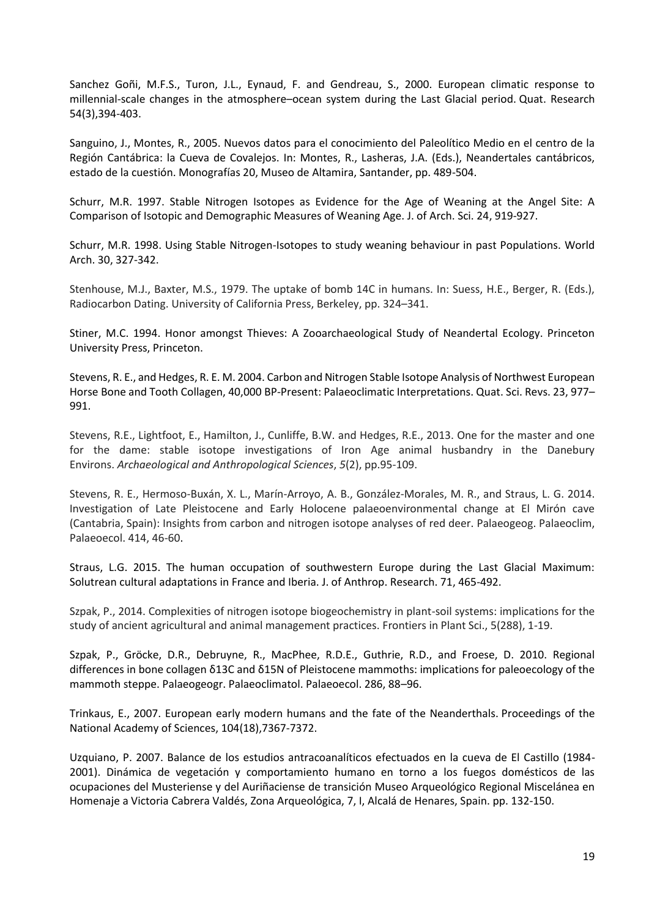Sanchez Goñi, M.F.S., Turon, J.L., Eynaud, F. and Gendreau, S., 2000. European climatic response to millennial-scale changes in the atmosphere–ocean system during the Last Glacial period. Quat. Research 54(3),394-403.

Sanguino, J., Montes, R., 2005. Nuevos datos para el conocimiento del Paleolítico Medio en el centro de la Región Cantábrica: la Cueva de Covalejos. In: Montes, R., Lasheras, J.A. (Eds.), Neandertales cantábricos, estado de la cuestión. Monografías 20, Museo de Altamira, Santander, pp. 489-504.

Schurr, M.R. 1997. Stable Nitrogen Isotopes as Evidence for the Age of Weaning at the Angel Site: A Comparison of Isotopic and Demographic Measures of Weaning Age. J. of Arch. Sci. 24, 919-927.

Schurr, M.R. 1998. Using Stable Nitrogen-Isotopes to study weaning behaviour in past Populations. World Arch. 30, 327-342.

Stenhouse, M.J., Baxter, M.S., 1979. The uptake of bomb 14C in humans. In: Suess, H.E., Berger, R. (Eds.), Radiocarbon Dating. University of California Press, Berkeley, pp. 324–341.

Stiner, M.C. 1994. Honor amongst Thieves: A Zooarchaeological Study of Neandertal Ecology. Princeton University Press, Princeton.

Stevens, R. E., and Hedges, R. E. M. 2004. Carbon and Nitrogen Stable Isotope Analysis of Northwest European Horse Bone and Tooth Collagen, 40,000 BP-Present: Palaeoclimatic Interpretations. Quat. Sci. Revs. 23, 977– 991.

Stevens, R.E., Lightfoot, E., Hamilton, J., Cunliffe, B.W. and Hedges, R.E., 2013. One for the master and one for the dame: stable isotope investigations of Iron Age animal husbandry in the Danebury Environs. *Archaeological and Anthropological Sciences*, *5*(2), pp.95-109.

Stevens, R. E., Hermoso-Buxán, X. L., Marín-Arroyo, A. B., González-Morales, M. R., and Straus, L. G. 2014. Investigation of Late Pleistocene and Early Holocene palaeoenvironmental change at El Mirón cave (Cantabria, Spain): Insights from carbon and nitrogen isotope analyses of red deer. Palaeogeog. Palaeoclim, Palaeoecol. 414, 46-60.

Straus, L.G. 2015. The human occupation of southwestern Europe during the Last Glacial Maximum: Solutrean cultural adaptations in France and Iberia. J. of Anthrop. Research. 71, 465-492.

Szpak, P., 2014. Complexities of nitrogen isotope biogeochemistry in plant-soil systems: implications for the study of ancient agricultural and animal management practices. Frontiers in Plant Sci., 5(288), 1-19.

Szpak, P., Gröcke, D.R., Debruyne, R., MacPhee, R.D.E., Guthrie, R.D., and Froese, D. 2010. Regional differences in bone collagen δ13C and δ15N of Pleistocene mammoths: implications for paleoecology of the mammoth steppe. Palaeogeogr. Palaeoclimatol. Palaeoecol. 286, 88–96.

Trinkaus, E., 2007. European early modern humans and the fate of the Neanderthals. Proceedings of the National Academy of Sciences, 104(18),7367-7372.

Uzquiano, P. 2007. Balance de los estudios antracoanalíticos efectuados en la cueva de El Castillo (1984- 2001). Dinámica de vegetación y comportamiento humano en torno a los fuegos domésticos de las ocupaciones del Musteriense y del Auriñaciense de transición Museo Arqueológico Regional Miscelánea en Homenaje a Victoria Cabrera Valdés, Zona Arqueológica, 7, I, Alcalá de Henares, Spain. pp. 132-150.